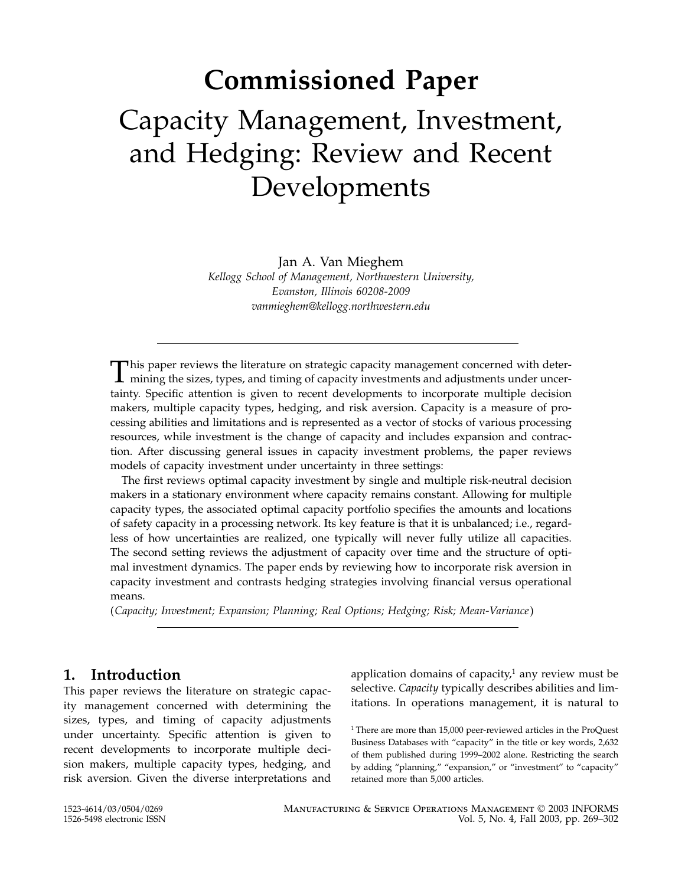# Commissioned Paper Capacity Management, Investment, and Hedging: Review and Recent Developments

Jan A. Van Mieghem

Kellogg School of Management, Northwestern University, Evanston, Illinois 60208-2009 vanmieghem@kellogg.northwestern.edu

This paper reviews the literature on strategic capacity management concerned with deter-<br>mining the sizes, types, and timing of capacity investments and adjustments under uncertainty. Specific attention is given to recent developments to incorporate multiple decision makers, multiple capacity types, hedging, and risk aversion. Capacity is a measure of processing abilities and limitations and is represented as a vector of stocks of various processing resources, while investment is the change of capacity and includes expansion and contraction. After discussing general issues in capacity investment problems, the paper reviews models of capacity investment under uncertainty in three settings:

The first reviews optimal capacity investment by single and multiple risk-neutral decision makers in a stationary environment where capacity remains constant. Allowing for multiple capacity types, the associated optimal capacity portfolio specifies the amounts and locations of safety capacity in a processing network. Its key feature is that it is unbalanced; i.e., regardless of how uncertainties are realized, one typically will never fully utilize all capacities. The second setting reviews the adjustment of capacity over time and the structure of optimal investment dynamics. The paper ends by reviewing how to incorporate risk aversion in capacity investment and contrasts hedging strategies involving financial versus operational means.

(Capacity; Investment; Expansion; Planning; Real Options; Hedging; Risk; Mean-Variance)

## 1. Introduction

This paper reviews the literature on strategic capacity management concerned with determining the sizes, types, and timing of capacity adjustments under uncertainty. Specific attention is given to recent developments to incorporate multiple decision makers, multiple capacity types, hedging, and risk aversion. Given the diverse interpretations and application domains of capacity, $1$  any review must be selective. Capacity typically describes abilities and limitations. In operations management, it is natural to

 $1$ <sup>1</sup> There are more than 15,000 peer-reviewed articles in the ProQuest Business Databases with "capacity" in the title or key words, 2,632 of them published during 1999–2002 alone. Restricting the search by adding "planning," "expansion," or "investment" to "capacity" retained more than 5,000 articles.

Manufacturing & Service Operations Management © 2003 INFORMS Vol. 5, No. 4, Fall 2003, pp. 269–302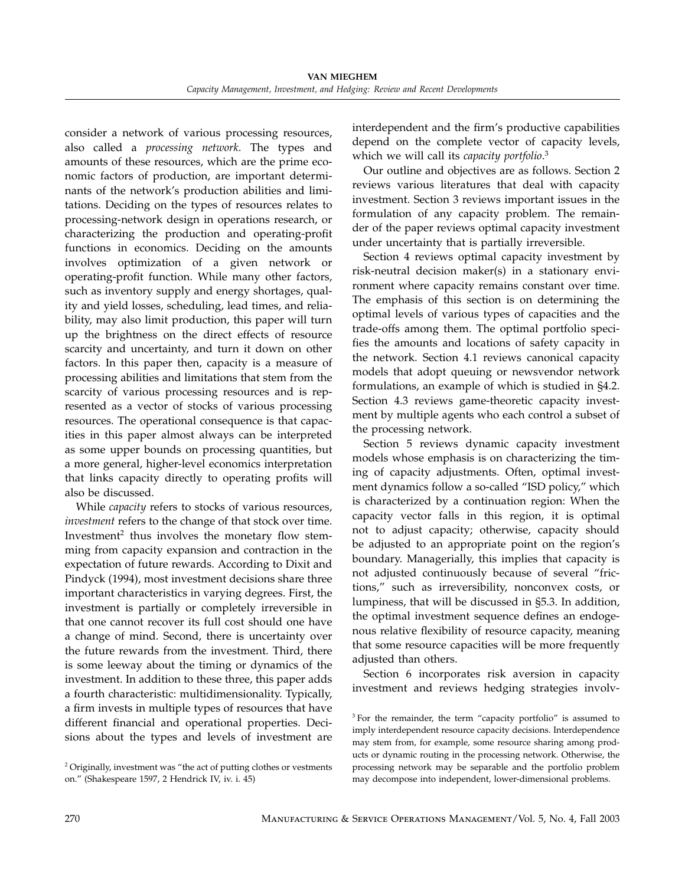consider a network of various processing resources, also called a processing network. The types and amounts of these resources, which are the prime economic factors of production, are important determinants of the network's production abilities and limitations. Deciding on the types of resources relates to processing-network design in operations research, or characterizing the production and operating-profit functions in economics. Deciding on the amounts involves optimization of a given network or operating-profit function. While many other factors, such as inventory supply and energy shortages, quality and yield losses, scheduling, lead times, and reliability, may also limit production, this paper will turn up the brightness on the direct effects of resource scarcity and uncertainty, and turn it down on other factors. In this paper then, capacity is a measure of processing abilities and limitations that stem from the scarcity of various processing resources and is represented as a vector of stocks of various processing resources. The operational consequence is that capacities in this paper almost always can be interpreted as some upper bounds on processing quantities, but a more general, higher-level economics interpretation that links capacity directly to operating profits will also be discussed.

While capacity refers to stocks of various resources, investment refers to the change of that stock over time. Investment<sup>2</sup> thus involves the monetary flow stemming from capacity expansion and contraction in the expectation of future rewards. According to Dixit and Pindyck (1994), most investment decisions share three important characteristics in varying degrees. First, the investment is partially or completely irreversible in that one cannot recover its full cost should one have a change of mind. Second, there is uncertainty over the future rewards from the investment. Third, there is some leeway about the timing or dynamics of the investment. In addition to these three, this paper adds a fourth characteristic: multidimensionality. Typically, a firm invests in multiple types of resources that have different financial and operational properties. Decisions about the types and levels of investment are

<sup>2</sup> Originally, investment was "the act of putting clothes or vestments on." (Shakespeare 1597, 2 Hendrick IV, iv. i. 45)

interdependent and the firm's productive capabilities depend on the complete vector of capacity levels, which we will call its *capacity portfolio.*3

Our outline and objectives are as follows. Section 2 reviews various literatures that deal with capacity investment. Section 3 reviews important issues in the formulation of any capacity problem. The remainder of the paper reviews optimal capacity investment under uncertainty that is partially irreversible.

Section 4 reviews optimal capacity investment by risk-neutral decision maker(s) in a stationary environment where capacity remains constant over time. The emphasis of this section is on determining the optimal levels of various types of capacities and the trade-offs among them. The optimal portfolio specifies the amounts and locations of safety capacity in the network. Section 4.1 reviews canonical capacity models that adopt queuing or newsvendor network formulations, an example of which is studied in §4.2. Section 4.3 reviews game-theoretic capacity investment by multiple agents who each control a subset of the processing network.

Section 5 reviews dynamic capacity investment models whose emphasis is on characterizing the timing of capacity adjustments. Often, optimal investment dynamics follow a so-called "ISD policy," which is characterized by a continuation region: When the capacity vector falls in this region, it is optimal not to adjust capacity; otherwise, capacity should be adjusted to an appropriate point on the region's boundary. Managerially, this implies that capacity is not adjusted continuously because of several "frictions," such as irreversibility, nonconvex costs, or lumpiness, that will be discussed in §5.3. In addition, the optimal investment sequence defines an endogenous relative flexibility of resource capacity, meaning that some resource capacities will be more frequently adjusted than others.

Section 6 incorporates risk aversion in capacity investment and reviews hedging strategies involv-

<sup>&</sup>lt;sup>3</sup> For the remainder, the term "capacity portfolio" is assumed to imply interdependent resource capacity decisions. Interdependence may stem from, for example, some resource sharing among products or dynamic routing in the processing network. Otherwise, the processing network may be separable and the portfolio problem may decompose into independent, lower-dimensional problems.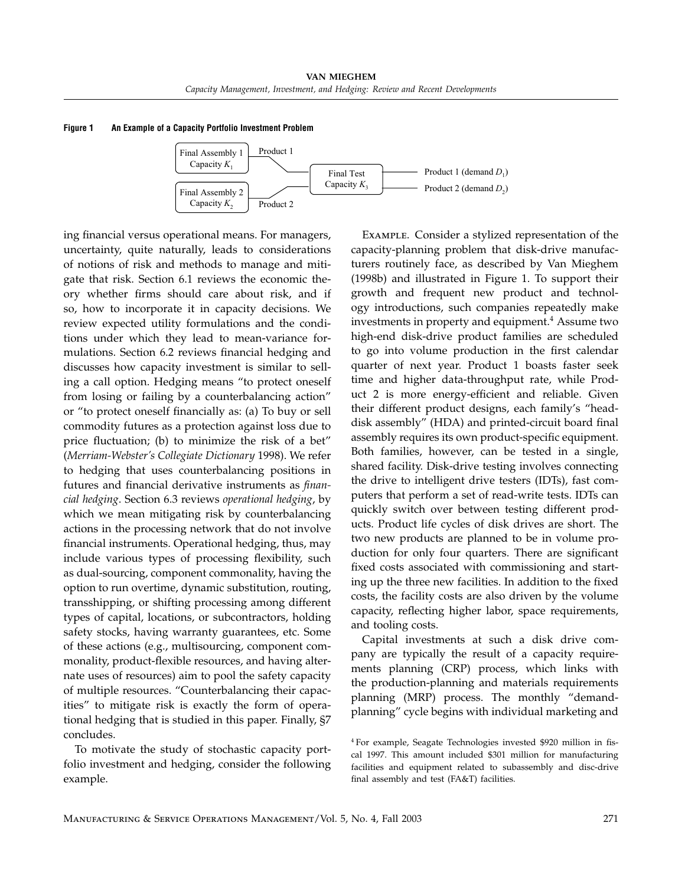Figure 1 An Example of a Capacity Portfolio Investment Problem



ing financial versus operational means. For managers, uncertainty, quite naturally, leads to considerations of notions of risk and methods to manage and mitigate that risk. Section 6.1 reviews the economic theory whether firms should care about risk, and if so, how to incorporate it in capacity decisions. We review expected utility formulations and the conditions under which they lead to mean-variance formulations. Section 6.2 reviews financial hedging and discusses how capacity investment is similar to selling a call option. Hedging means "to protect oneself from losing or failing by a counterbalancing action" or "to protect oneself financially as: (a) To buy or sell commodity futures as a protection against loss due to price fluctuation; (b) to minimize the risk of a bet" (Merriam-Webster's Collegiate Dictionary 1998). We refer to hedging that uses counterbalancing positions in futures and financial derivative instruments as financial hedging. Section 6.3 reviews operational hedging, by which we mean mitigating risk by counterbalancing actions in the processing network that do not involve financial instruments. Operational hedging, thus, may include various types of processing flexibility, such as dual-sourcing, component commonality, having the option to run overtime, dynamic substitution, routing, transshipping, or shifting processing among different types of capital, locations, or subcontractors, holding safety stocks, having warranty guarantees, etc. Some of these actions (e.g., multisourcing, component commonality, product-flexible resources, and having alternate uses of resources) aim to pool the safety capacity of multiple resources. "Counterbalancing their capacities" to mitigate risk is exactly the form of operational hedging that is studied in this paper. Finally, §7 concludes.

To motivate the study of stochastic capacity portfolio investment and hedging, consider the following example.

Example. Consider a stylized representation of the capacity-planning problem that disk-drive manufacturers routinely face, as described by Van Mieghem (1998b) and illustrated in Figure 1. To support their growth and frequent new product and technology introductions, such companies repeatedly make investments in property and equipment.<sup>4</sup> Assume two high-end disk-drive product families are scheduled to go into volume production in the first calendar quarter of next year. Product 1 boasts faster seek time and higher data-throughput rate, while Product 2 is more energy-efficient and reliable. Given their different product designs, each family's "headdisk assembly" (HDA) and printed-circuit board final assembly requires its own product-specific equipment. Both families, however, can be tested in a single, shared facility. Disk-drive testing involves connecting the drive to intelligent drive testers (IDTs), fast computers that perform a set of read-write tests. IDTs can quickly switch over between testing different products. Product life cycles of disk drives are short. The two new products are planned to be in volume production for only four quarters. There are significant fixed costs associated with commissioning and starting up the three new facilities. In addition to the fixed costs, the facility costs are also driven by the volume capacity, reflecting higher labor, space requirements, and tooling costs.

Capital investments at such a disk drive company are typically the result of a capacity requirements planning (CRP) process, which links with the production-planning and materials requirements planning (MRP) process. The monthly "demandplanning" cycle begins with individual marketing and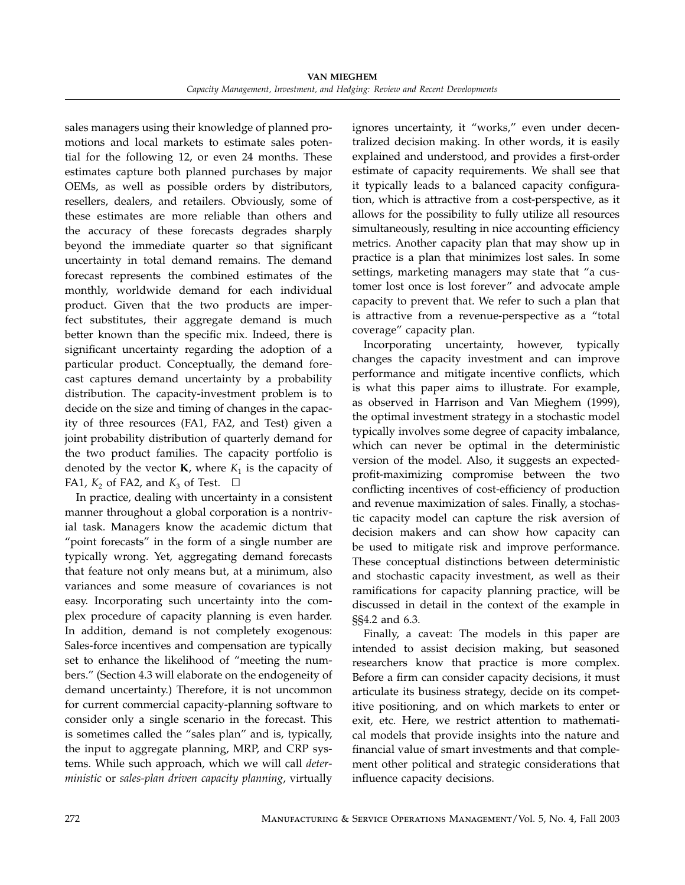sales managers using their knowledge of planned promotions and local markets to estimate sales potential for the following 12, or even 24 months. These estimates capture both planned purchases by major OEMs, as well as possible orders by distributors, resellers, dealers, and retailers. Obviously, some of these estimates are more reliable than others and the accuracy of these forecasts degrades sharply beyond the immediate quarter so that significant uncertainty in total demand remains. The demand forecast represents the combined estimates of the monthly, worldwide demand for each individual product. Given that the two products are imperfect substitutes, their aggregate demand is much better known than the specific mix. Indeed, there is significant uncertainty regarding the adoption of a particular product. Conceptually, the demand forecast captures demand uncertainty by a probability distribution. The capacity-investment problem is to decide on the size and timing of changes in the capacity of three resources (FA1, FA2, and Test) given a joint probability distribution of quarterly demand for the two product families. The capacity portfolio is denoted by the vector **K**, where  $K_1$  is the capacity of FA1,  $K_2$  of FA2, and  $K_3$  of Test.  $\Box$ 

In practice, dealing with uncertainty in a consistent manner throughout a global corporation is a nontrivial task. Managers know the academic dictum that "point forecasts" in the form of a single number are typically wrong. Yet, aggregating demand forecasts that feature not only means but, at a minimum, also variances and some measure of covariances is not easy. Incorporating such uncertainty into the complex procedure of capacity planning is even harder. In addition, demand is not completely exogenous: Sales-force incentives and compensation are typically set to enhance the likelihood of "meeting the numbers." (Section 4.3 will elaborate on the endogeneity of demand uncertainty.) Therefore, it is not uncommon for current commercial capacity-planning software to consider only a single scenario in the forecast. This is sometimes called the "sales plan" and is, typically, the input to aggregate planning, MRP, and CRP systems. While such approach, which we will call deterministic or sales-plan driven capacity planning, virtually

ignores uncertainty, it "works," even under decentralized decision making. In other words, it is easily explained and understood, and provides a first-order estimate of capacity requirements. We shall see that it typically leads to a balanced capacity configuration, which is attractive from a cost-perspective, as it allows for the possibility to fully utilize all resources simultaneously, resulting in nice accounting efficiency metrics. Another capacity plan that may show up in practice is a plan that minimizes lost sales. In some settings, marketing managers may state that "a customer lost once is lost forever" and advocate ample capacity to prevent that. We refer to such a plan that is attractive from a revenue-perspective as a "total coverage" capacity plan.

Incorporating uncertainty, however, typically changes the capacity investment and can improve performance and mitigate incentive conflicts, which is what this paper aims to illustrate. For example, as observed in Harrison and Van Mieghem (1999), the optimal investment strategy in a stochastic model typically involves some degree of capacity imbalance, which can never be optimal in the deterministic version of the model. Also, it suggests an expectedprofit-maximizing compromise between the two conflicting incentives of cost-efficiency of production and revenue maximization of sales. Finally, a stochastic capacity model can capture the risk aversion of decision makers and can show how capacity can be used to mitigate risk and improve performance. These conceptual distinctions between deterministic and stochastic capacity investment, as well as their ramifications for capacity planning practice, will be discussed in detail in the context of the example in §§4.2 and 6.3.

Finally, a caveat: The models in this paper are intended to assist decision making, but seasoned researchers know that practice is more complex. Before a firm can consider capacity decisions, it must articulate its business strategy, decide on its competitive positioning, and on which markets to enter or exit, etc. Here, we restrict attention to mathematical models that provide insights into the nature and financial value of smart investments and that complement other political and strategic considerations that influence capacity decisions.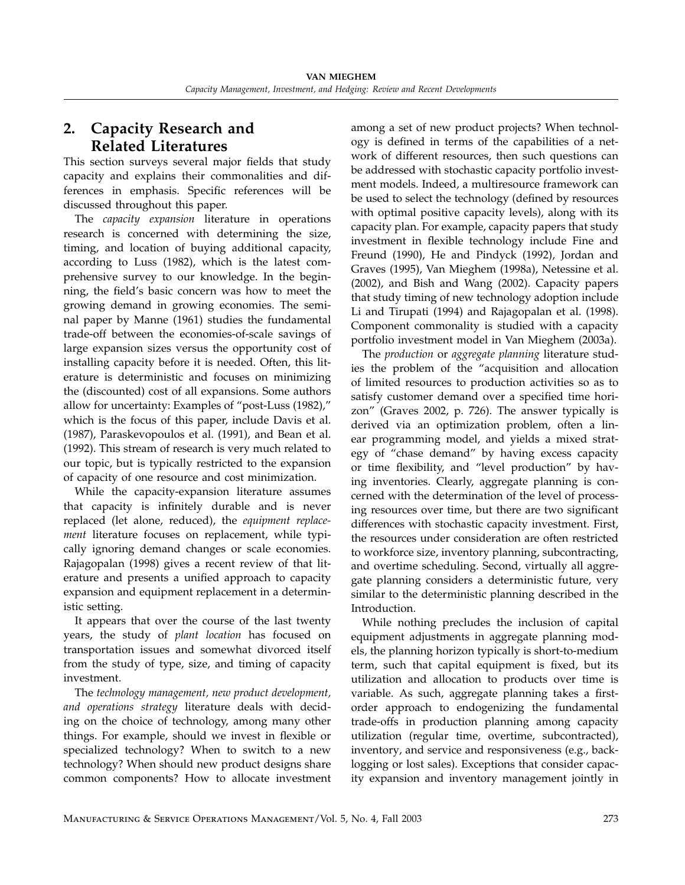## 2. Capacity Research and Related Literatures

This section surveys several major fields that study capacity and explains their commonalities and differences in emphasis. Specific references will be discussed throughout this paper.

The capacity expansion literature in operations research is concerned with determining the size, timing, and location of buying additional capacity, according to Luss (1982), which is the latest comprehensive survey to our knowledge. In the beginning, the field's basic concern was how to meet the growing demand in growing economies. The seminal paper by Manne (1961) studies the fundamental trade-off between the economies-of-scale savings of large expansion sizes versus the opportunity cost of installing capacity before it is needed. Often, this literature is deterministic and focuses on minimizing the (discounted) cost of all expansions. Some authors allow for uncertainty: Examples of "post-Luss (1982)," which is the focus of this paper, include Davis et al. (1987), Paraskevopoulos et al. (1991), and Bean et al. (1992). This stream of research is very much related to our topic, but is typically restricted to the expansion of capacity of one resource and cost minimization.

While the capacity-expansion literature assumes that capacity is infinitely durable and is never replaced (let alone, reduced), the equipment replacement literature focuses on replacement, while typically ignoring demand changes or scale economies. Rajagopalan (1998) gives a recent review of that literature and presents a unified approach to capacity expansion and equipment replacement in a deterministic setting.

It appears that over the course of the last twenty years, the study of plant location has focused on transportation issues and somewhat divorced itself from the study of type, size, and timing of capacity investment.

The technology management, new product development, and operations strategy literature deals with deciding on the choice of technology, among many other things. For example, should we invest in flexible or specialized technology? When to switch to a new technology? When should new product designs share common components? How to allocate investment

among a set of new product projects? When technology is defined in terms of the capabilities of a network of different resources, then such questions can be addressed with stochastic capacity portfolio investment models. Indeed, a multiresource framework can be used to select the technology (defined by resources with optimal positive capacity levels), along with its capacity plan. For example, capacity papers that study investment in flexible technology include Fine and Freund (1990), He and Pindyck (1992), Jordan and Graves (1995), Van Mieghem (1998a), Netessine et al. (2002), and Bish and Wang (2002). Capacity papers that study timing of new technology adoption include Li and Tirupati (1994) and Rajagopalan et al. (1998). Component commonality is studied with a capacity portfolio investment model in Van Mieghem (2003a).

The production or aggregate planning literature studies the problem of the "acquisition and allocation of limited resources to production activities so as to satisfy customer demand over a specified time horizon" (Graves 2002, p. 726). The answer typically is derived via an optimization problem, often a linear programming model, and yields a mixed strategy of "chase demand" by having excess capacity or time flexibility, and "level production" by having inventories. Clearly, aggregate planning is concerned with the determination of the level of processing resources over time, but there are two significant differences with stochastic capacity investment. First, the resources under consideration are often restricted to workforce size, inventory planning, subcontracting, and overtime scheduling. Second, virtually all aggregate planning considers a deterministic future, very similar to the deterministic planning described in the Introduction.

While nothing precludes the inclusion of capital equipment adjustments in aggregate planning models, the planning horizon typically is short-to-medium term, such that capital equipment is fixed, but its utilization and allocation to products over time is variable. As such, aggregate planning takes a firstorder approach to endogenizing the fundamental trade-offs in production planning among capacity utilization (regular time, overtime, subcontracted), inventory, and service and responsiveness (e.g., backlogging or lost sales). Exceptions that consider capacity expansion and inventory management jointly in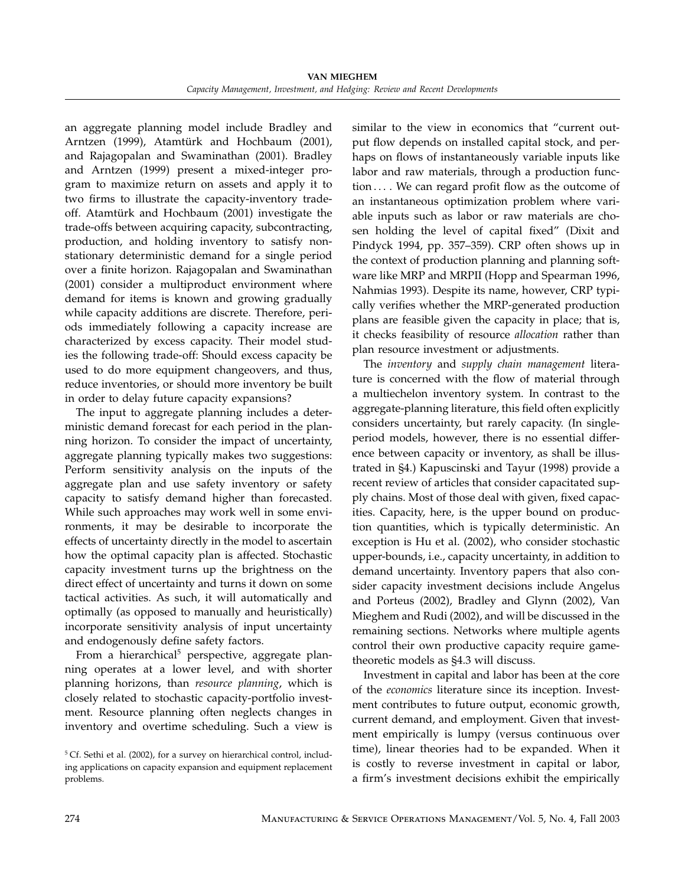an aggregate planning model include Bradley and Arntzen (1999), Atamtürk and Hochbaum (2001), and Rajagopalan and Swaminathan (2001). Bradley and Arntzen (1999) present a mixed-integer program to maximize return on assets and apply it to two firms to illustrate the capacity-inventory tradeoff. Atamtürk and Hochbaum (2001) investigate the trade-offs between acquiring capacity, subcontracting, production, and holding inventory to satisfy nonstationary deterministic demand for a single period over a finite horizon. Rajagopalan and Swaminathan (2001) consider a multiproduct environment where demand for items is known and growing gradually while capacity additions are discrete. Therefore, periods immediately following a capacity increase are characterized by excess capacity. Their model studies the following trade-off: Should excess capacity be used to do more equipment changeovers, and thus, reduce inventories, or should more inventory be built in order to delay future capacity expansions?

The input to aggregate planning includes a deterministic demand forecast for each period in the planning horizon. To consider the impact of uncertainty, aggregate planning typically makes two suggestions: Perform sensitivity analysis on the inputs of the aggregate plan and use safety inventory or safety capacity to satisfy demand higher than forecasted. While such approaches may work well in some environments, it may be desirable to incorporate the effects of uncertainty directly in the model to ascertain how the optimal capacity plan is affected. Stochastic capacity investment turns up the brightness on the direct effect of uncertainty and turns it down on some tactical activities. As such, it will automatically and optimally (as opposed to manually and heuristically) incorporate sensitivity analysis of input uncertainty and endogenously define safety factors.

From a hierarchical<sup>5</sup> perspective, aggregate planning operates at a lower level, and with shorter planning horizons, than resource planning, which is closely related to stochastic capacity-portfolio investment. Resource planning often neglects changes in inventory and overtime scheduling. Such a view is

similar to the view in economics that "current output flow depends on installed capital stock, and perhaps on flows of instantaneously variable inputs like labor and raw materials, through a production function…. We can regard profit flow as the outcome of an instantaneous optimization problem where variable inputs such as labor or raw materials are chosen holding the level of capital fixed" (Dixit and Pindyck 1994, pp. 357–359). CRP often shows up in the context of production planning and planning software like MRP and MRPII (Hopp and Spearman 1996, Nahmias 1993). Despite its name, however, CRP typically verifies whether the MRP-generated production plans are feasible given the capacity in place; that is, it checks feasibility of resource allocation rather than plan resource investment or adjustments.

The inventory and supply chain management literature is concerned with the flow of material through a multiechelon inventory system. In contrast to the aggregate-planning literature, this field often explicitly considers uncertainty, but rarely capacity. (In singleperiod models, however, there is no essential difference between capacity or inventory, as shall be illustrated in §4.) Kapuscinski and Tayur (1998) provide a recent review of articles that consider capacitated supply chains. Most of those deal with given, fixed capacities. Capacity, here, is the upper bound on production quantities, which is typically deterministic. An exception is Hu et al. (2002), who consider stochastic upper-bounds, i.e., capacity uncertainty, in addition to demand uncertainty. Inventory papers that also consider capacity investment decisions include Angelus and Porteus (2002), Bradley and Glynn (2002), Van Mieghem and Rudi (2002), and will be discussed in the remaining sections. Networks where multiple agents control their own productive capacity require gametheoretic models as §4.3 will discuss.

Investment in capital and labor has been at the core of the economics literature since its inception. Investment contributes to future output, economic growth, current demand, and employment. Given that investment empirically is lumpy (versus continuous over time), linear theories had to be expanded. When it is costly to reverse investment in capital or labor, a firm's investment decisions exhibit the empirically

<sup>&</sup>lt;sup>5</sup> Cf. Sethi et al. (2002), for a survey on hierarchical control, including applications on capacity expansion and equipment replacement problems.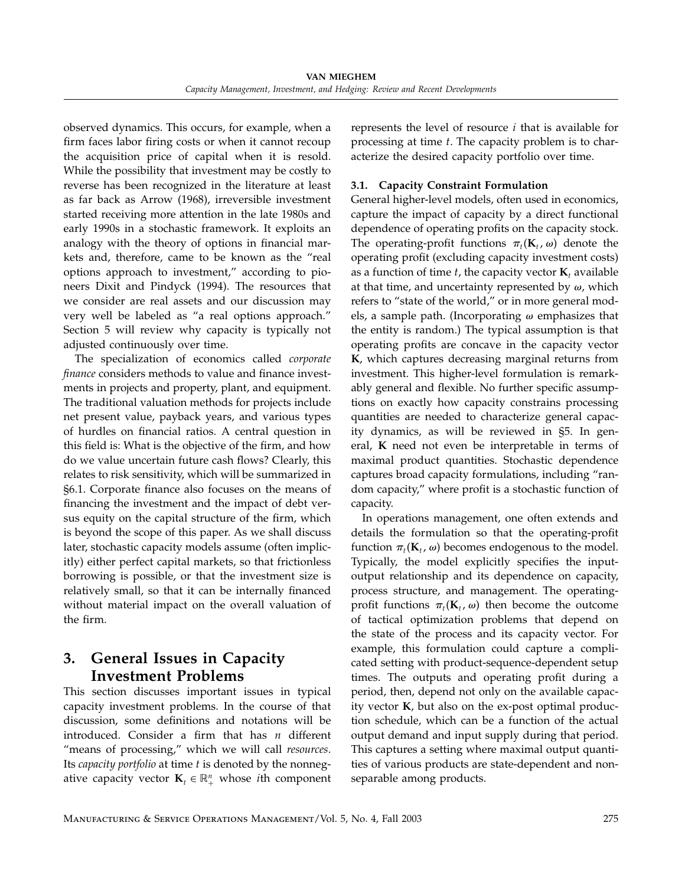observed dynamics. This occurs, for example, when a firm faces labor firing costs or when it cannot recoup the acquisition price of capital when it is resold. While the possibility that investment may be costly to reverse has been recognized in the literature at least as far back as Arrow (1968), irreversible investment started receiving more attention in the late 1980s and early 1990s in a stochastic framework. It exploits an analogy with the theory of options in financial markets and, therefore, came to be known as the "real options approach to investment," according to pioneers Dixit and Pindyck (1994). The resources that we consider are real assets and our discussion may very well be labeled as "a real options approach." Section 5 will review why capacity is typically not adjusted continuously over time.

The specialization of economics called corporate finance considers methods to value and finance investments in projects and property, plant, and equipment. The traditional valuation methods for projects include net present value, payback years, and various types of hurdles on financial ratios. A central question in this field is: What is the objective of the firm, and how do we value uncertain future cash flows? Clearly, this relates to risk sensitivity, which will be summarized in §6.1. Corporate finance also focuses on the means of financing the investment and the impact of debt versus equity on the capital structure of the firm, which is beyond the scope of this paper. As we shall discuss later, stochastic capacity models assume (often implicitly) either perfect capital markets, so that frictionless borrowing is possible, or that the investment size is relatively small, so that it can be internally financed without material impact on the overall valuation of the firm.

# 3. General Issues in Capacity Investment Problems

This section discusses important issues in typical capacity investment problems. In the course of that discussion, some definitions and notations will be introduced. Consider a firm that has  $n$  different "means of processing," which we will call resources. Its *capacity portfolio* at time t is denoted by the nonnegative capacity vector  $\mathbf{K}_t \in \mathbb{R}_+^n$  whose *i*th component

represents the level of resource  $i$  that is available for processing at time t. The capacity problem is to characterize the desired capacity portfolio over time.

#### 3.1. Capacity Constraint Formulation

General higher-level models, often used in economics, capture the impact of capacity by a direct functional dependence of operating profits on the capacity stock. The operating-profit functions  $\pi_t(\mathbf{K}_t, \omega)$  denote the operating profit (excluding capacity investment costs) as a function of time  $t$ , the capacity vector  $\mathbf{K}_t$  available at that time, and uncertainty represented by  $\omega$ , which refers to "state of the world," or in more general models, a sample path. (Incorporating  $\omega$  emphasizes that the entity is random.) The typical assumption is that operating profits are concave in the capacity vector K, which captures decreasing marginal returns from investment. This higher-level formulation is remarkably general and flexible. No further specific assumptions on exactly how capacity constrains processing quantities are needed to characterize general capacity dynamics, as will be reviewed in §5. In general, K need not even be interpretable in terms of maximal product quantities. Stochastic dependence captures broad capacity formulations, including "random capacity," where profit is a stochastic function of capacity.

In operations management, one often extends and details the formulation so that the operating-profit function  $\pi_t(\mathbf{K}_t, \omega)$  becomes endogenous to the model. Typically, the model explicitly specifies the inputoutput relationship and its dependence on capacity, process structure, and management. The operatingprofit functions  $\pi_t(\mathbf{K}_t, \omega)$  then become the outcome of tactical optimization problems that depend on the state of the process and its capacity vector. For example, this formulation could capture a complicated setting with product-sequence-dependent setup times. The outputs and operating profit during a period, then, depend not only on the available capacity vector K, but also on the ex-post optimal production schedule, which can be a function of the actual output demand and input supply during that period. This captures a setting where maximal output quantities of various products are state-dependent and nonseparable among products.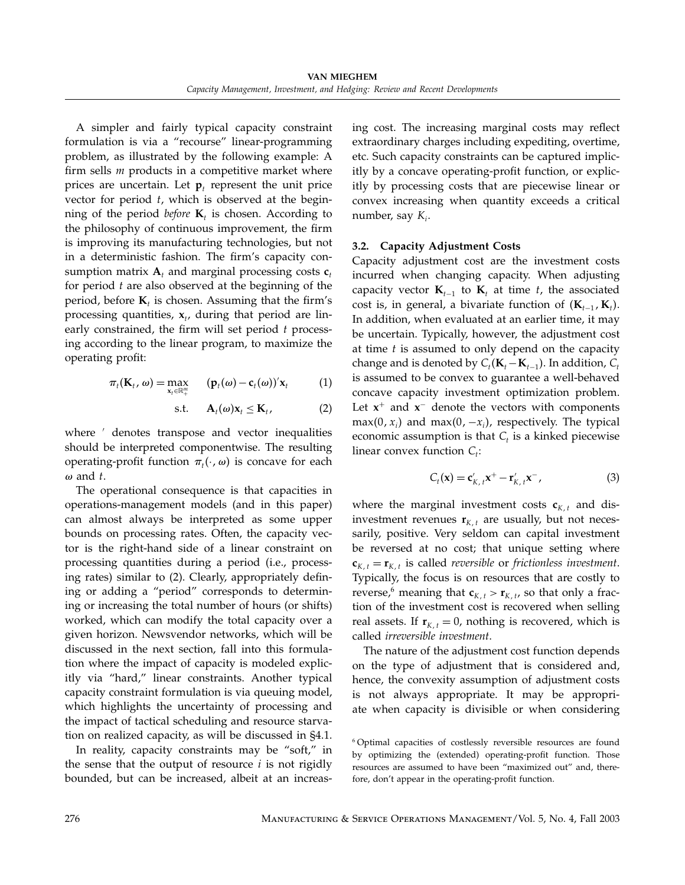A simpler and fairly typical capacity constraint formulation is via a "recourse" linear-programming problem, as illustrated by the following example: A firm sells  $m$  products in a competitive market where prices are uncertain. Let  $\mathbf{p}_t$  represent the unit price vector for period t, which is observed at the beginning of the period before  $K_t$  is chosen. According to the philosophy of continuous improvement, the firm is improving its manufacturing technologies, but not in a deterministic fashion. The firm's capacity consumption matrix  $A_t$  and marginal processing costs  $c_t$ for period  $t$  are also observed at the beginning of the period, before  $K_t$  is chosen. Assuming that the firm's processing quantities,  $x_t$ , during that period are linearly constrained, the firm will set period t processing according to the linear program, to maximize the operating profit:

$$
\pi_t(\mathbf{K}_t, \omega) = \max_{\mathbf{x}_t \in \mathbb{R}_+^m} \quad (\mathbf{p}_t(\omega) - \mathbf{c}_t(\omega))' \mathbf{x}_t \quad (1)
$$

$$
\text{s.t.} \qquad \mathbf{A}_t(\omega)\mathbf{x}_t \leq \mathbf{K}_t, \tag{2}
$$

where ' denotes transpose and vector inequalities should be interpreted componentwise. The resulting operating-profit function  $\pi_t(\cdot, \omega)$  is concave for each  $\omega$  and t.

The operational consequence is that capacities in operations-management models (and in this paper) can almost always be interpreted as some upper bounds on processing rates. Often, the capacity vector is the right-hand side of a linear constraint on processing quantities during a period (i.e., processing rates) similar to (2). Clearly, appropriately defining or adding a "period" corresponds to determining or increasing the total number of hours (or shifts) worked, which can modify the total capacity over a given horizon. Newsvendor networks, which will be discussed in the next section, fall into this formulation where the impact of capacity is modeled explicitly via "hard," linear constraints. Another typical capacity constraint formulation is via queuing model, which highlights the uncertainty of processing and the impact of tactical scheduling and resource starvation on realized capacity, as will be discussed in §4.1.

In reality, capacity constraints may be "soft," in the sense that the output of resource  $i$  is not rigidly bounded, but can be increased, albeit at an increasing cost. The increasing marginal costs may reflect extraordinary charges including expediting, overtime, etc. Such capacity constraints can be captured implicitly by a concave operating-profit function, or explicitly by processing costs that are piecewise linear or convex increasing when quantity exceeds a critical number, say  $K_i$ .

#### 3.2. Capacity Adjustment Costs

Capacity adjustment cost are the investment costs incurred when changing capacity. When adjusting capacity vector  $\mathbf{K}_{t-1}$  to  $\mathbf{K}_t$  at time t, the associated cost is, in general, a bivariate function of  $(\mathbf{K}_{t-1}, \mathbf{K}_t)$ . In addition, when evaluated at an earlier time, it may be uncertain. Typically, however, the adjustment cost at time  $t$  is assumed to only depend on the capacity change and is denoted by  $C_t(K_t - K_{t-1})$ . In addition,  $C_t$ is assumed to be convex to guarantee a well-behaved concave capacity investment optimization problem. Let  $x^+$  and  $x^-$  denote the vectors with components  $max(0, x_i)$  and  $max(0, -x_i)$ , respectively. The typical economic assumption is that  $C_t$  is a kinked piecewise linear convex function  $C_t$ :

$$
C_t(\mathbf{x}) = \mathbf{c}_{K,t}' \mathbf{x}^+ - \mathbf{r}_{K,t}' \mathbf{x}^-, \tag{3}
$$

where the marginal investment costs  $c_{K,t}$  and disinvestment revenues  $\mathbf{r}_{K,t}$  are usually, but not necessarily, positive. Very seldom can capital investment be reversed at no cost; that unique setting where  $\mathbf{c}_{K,t} = \mathbf{r}_{K,t}$  is called *reversible* or *frictionless investment*. Typically, the focus is on resources that are costly to reverse,<sup>6</sup> meaning that  $\mathbf{c}_{K,t} > \mathbf{r}_{K,t}$ , so that only a fraction of the investment cost is recovered when selling real assets. If  $\mathbf{r}_{K}$   $_{t} = 0$ , nothing is recovered, which is called irreversible investment.

The nature of the adjustment cost function depends on the type of adjustment that is considered and, hence, the convexity assumption of adjustment costs is not always appropriate. It may be appropriate when capacity is divisible or when considering

<sup>6</sup> Optimal capacities of costlessly reversible resources are found by optimizing the (extended) operating-profit function. Those resources are assumed to have been "maximized out" and, therefore, don't appear in the operating-profit function.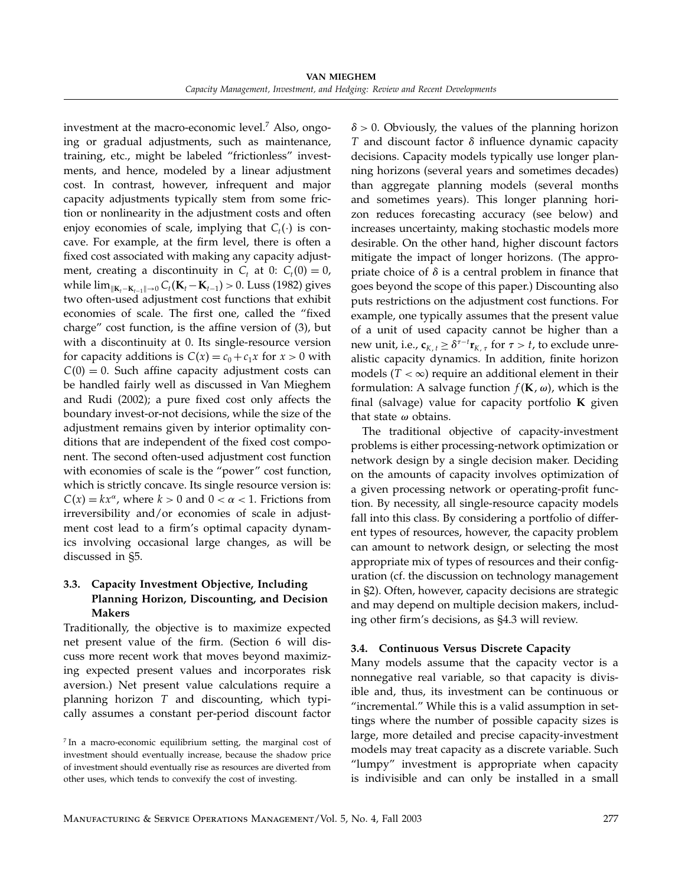investment at the macro-economic level.<sup>7</sup> Also, ongoing or gradual adjustments, such as maintenance, training, etc., might be labeled "frictionless" investments, and hence, modeled by a linear adjustment cost. In contrast, however, infrequent and major capacity adjustments typically stem from some friction or nonlinearity in the adjustment costs and often enjoy economies of scale, implying that  $C_t(\cdot)$  is concave. For example, at the firm level, there is often a fixed cost associated with making any capacity adjustment, creating a discontinuity in  $C_t$  at 0:  $C_t(0) = 0$ , while  $\lim_{\|{\bf K}_t-{\bf K}_{t-1}\|\to 0} C_t({\bf K}_t-{\bf K}_{t-1}) > 0$ . Luss (1982) gives two often-used adjustment cost functions that exhibit economies of scale. The first one, called the "fixed charge" cost function, is the affine version of (3), but with a discontinuity at 0. Its single-resource version for capacity additions is  $C(x) = c_0 + c_1x$  for  $x > 0$  with  $C(0) = 0$ . Such affine capacity adjustment costs can be handled fairly well as discussed in Van Mieghem and Rudi (2002); a pure fixed cost only affects the boundary invest-or-not decisions, while the size of the adjustment remains given by interior optimality conditions that are independent of the fixed cost component. The second often-used adjustment cost function with economies of scale is the "power" cost function, which is strictly concave. Its single resource version is:  $C(x) = kx^{\alpha}$ , where  $k > 0$  and  $0 < \alpha < 1$ . Frictions from irreversibility and/or economies of scale in adjustment cost lead to a firm's optimal capacity dynamics involving occasional large changes, as will be discussed in §5.

#### 3.3. Capacity Investment Objective, Including Planning Horizon, Discounting, and Decision Makers

Traditionally, the objective is to maximize expected net present value of the firm. (Section 6 will discuss more recent work that moves beyond maximizing expected present values and incorporates risk aversion.) Net present value calculations require a planning horizon T and discounting, which typically assumes a constant per-period discount factor

 $\delta$  > 0. Obviously, the values of the planning horizon T and discount factor  $\delta$  influence dynamic capacity decisions. Capacity models typically use longer planning horizons (several years and sometimes decades) than aggregate planning models (several months and sometimes years). This longer planning horizon reduces forecasting accuracy (see below) and increases uncertainty, making stochastic models more desirable. On the other hand, higher discount factors mitigate the impact of longer horizons. (The appropriate choice of  $\delta$  is a central problem in finance that goes beyond the scope of this paper.) Discounting also puts restrictions on the adjustment cost functions. For example, one typically assumes that the present value of a unit of used capacity cannot be higher than a new unit, i.e.,  $\mathbf{c}_{K, t} \geq \delta^{\tau - t} \mathbf{r}_{K, \tau}$  for  $\tau > t$ , to exclude unrealistic capacity dynamics. In addition, finite horizon models  $(T < \infty)$  require an additional element in their formulation: A salvage function  $f(\mathbf{K},\omega)$ , which is the final (salvage) value for capacity portfolio  $K$  given that state  $\omega$  obtains.

The traditional objective of capacity-investment problems is either processing-network optimization or network design by a single decision maker. Deciding on the amounts of capacity involves optimization of a given processing network or operating-profit function. By necessity, all single-resource capacity models fall into this class. By considering a portfolio of different types of resources, however, the capacity problem can amount to network design, or selecting the most appropriate mix of types of resources and their configuration (cf. the discussion on technology management in §2). Often, however, capacity decisions are strategic and may depend on multiple decision makers, including other firm's decisions, as §4.3 will review.

#### 3.4. Continuous Versus Discrete Capacity

Many models assume that the capacity vector is a nonnegative real variable, so that capacity is divisible and, thus, its investment can be continuous or "incremental." While this is a valid assumption in settings where the number of possible capacity sizes is large, more detailed and precise capacity-investment models may treat capacity as a discrete variable. Such "lumpy" investment is appropriate when capacity is indivisible and can only be installed in a small

<sup>&</sup>lt;sup>7</sup> In a macro-economic equilibrium setting, the marginal cost of investment should eventually increase, because the shadow price of investment should eventually rise as resources are diverted from other uses, which tends to convexify the cost of investing.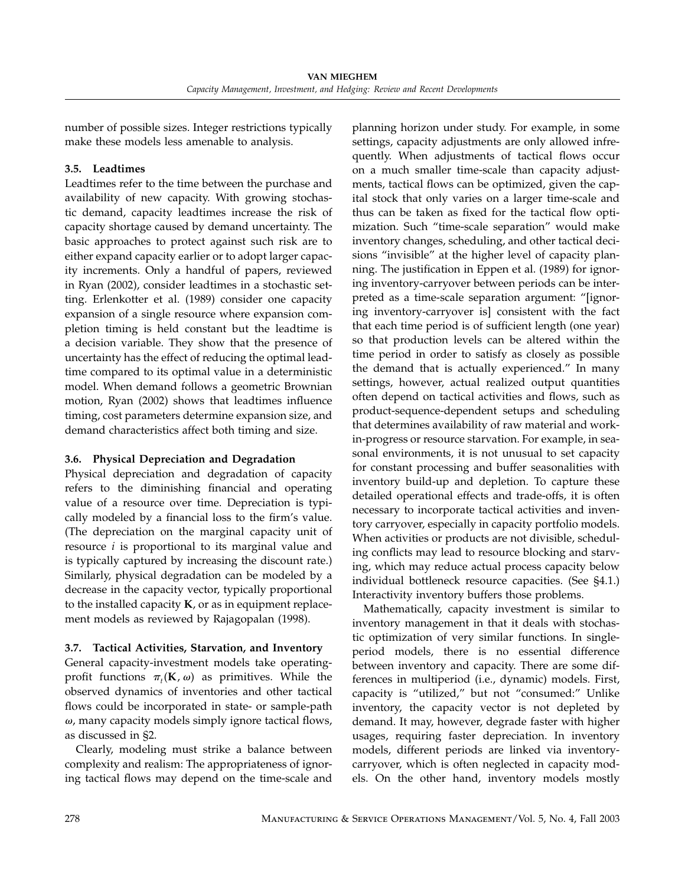number of possible sizes. Integer restrictions typically make these models less amenable to analysis.

### 3.5. Leadtimes

Leadtimes refer to the time between the purchase and availability of new capacity. With growing stochastic demand, capacity leadtimes increase the risk of capacity shortage caused by demand uncertainty. The basic approaches to protect against such risk are to either expand capacity earlier or to adopt larger capacity increments. Only a handful of papers, reviewed in Ryan (2002), consider leadtimes in a stochastic setting. Erlenkotter et al. (1989) consider one capacity expansion of a single resource where expansion completion timing is held constant but the leadtime is a decision variable. They show that the presence of uncertainty has the effect of reducing the optimal leadtime compared to its optimal value in a deterministic model. When demand follows a geometric Brownian motion, Ryan (2002) shows that leadtimes influence timing, cost parameters determine expansion size, and demand characteristics affect both timing and size.

#### 3.6. Physical Depreciation and Degradation

Physical depreciation and degradation of capacity refers to the diminishing financial and operating value of a resource over time. Depreciation is typically modeled by a financial loss to the firm's value. (The depreciation on the marginal capacity unit of resource  $i$  is proportional to its marginal value and is typically captured by increasing the discount rate.) Similarly, physical degradation can be modeled by a decrease in the capacity vector, typically proportional to the installed capacity  $K$ , or as in equipment replacement models as reviewed by Rajagopalan (1998).

## 3.7. Tactical Activities, Starvation, and Inventory

General capacity-investment models take operatingprofit functions  $\pi_t(\mathbf{K}, \omega)$  as primitives. While the observed dynamics of inventories and other tactical flows could be incorporated in state- or sample-path  $\omega$ , many capacity models simply ignore tactical flows, as discussed in §2.

Clearly, modeling must strike a balance between complexity and realism: The appropriateness of ignoring tactical flows may depend on the time-scale and planning horizon under study. For example, in some settings, capacity adjustments are only allowed infrequently. When adjustments of tactical flows occur on a much smaller time-scale than capacity adjustments, tactical flows can be optimized, given the capital stock that only varies on a larger time-scale and thus can be taken as fixed for the tactical flow optimization. Such "time-scale separation" would make inventory changes, scheduling, and other tactical decisions "invisible" at the higher level of capacity planning. The justification in Eppen et al. (1989) for ignoring inventory-carryover between periods can be interpreted as a time-scale separation argument: "[ignoring inventory-carryover is] consistent with the fact that each time period is of sufficient length (one year) so that production levels can be altered within the time period in order to satisfy as closely as possible the demand that is actually experienced." In many settings, however, actual realized output quantities often depend on tactical activities and flows, such as product-sequence-dependent setups and scheduling that determines availability of raw material and workin-progress or resource starvation. For example, in seasonal environments, it is not unusual to set capacity for constant processing and buffer seasonalities with inventory build-up and depletion. To capture these detailed operational effects and trade-offs, it is often necessary to incorporate tactical activities and inventory carryover, especially in capacity portfolio models. When activities or products are not divisible, scheduling conflicts may lead to resource blocking and starving, which may reduce actual process capacity below individual bottleneck resource capacities. (See §4.1.) Interactivity inventory buffers those problems.

Mathematically, capacity investment is similar to inventory management in that it deals with stochastic optimization of very similar functions. In singleperiod models, there is no essential difference between inventory and capacity. There are some differences in multiperiod (i.e., dynamic) models. First, capacity is "utilized," but not "consumed:" Unlike inventory, the capacity vector is not depleted by demand. It may, however, degrade faster with higher usages, requiring faster depreciation. In inventory models, different periods are linked via inventorycarryover, which is often neglected in capacity models. On the other hand, inventory models mostly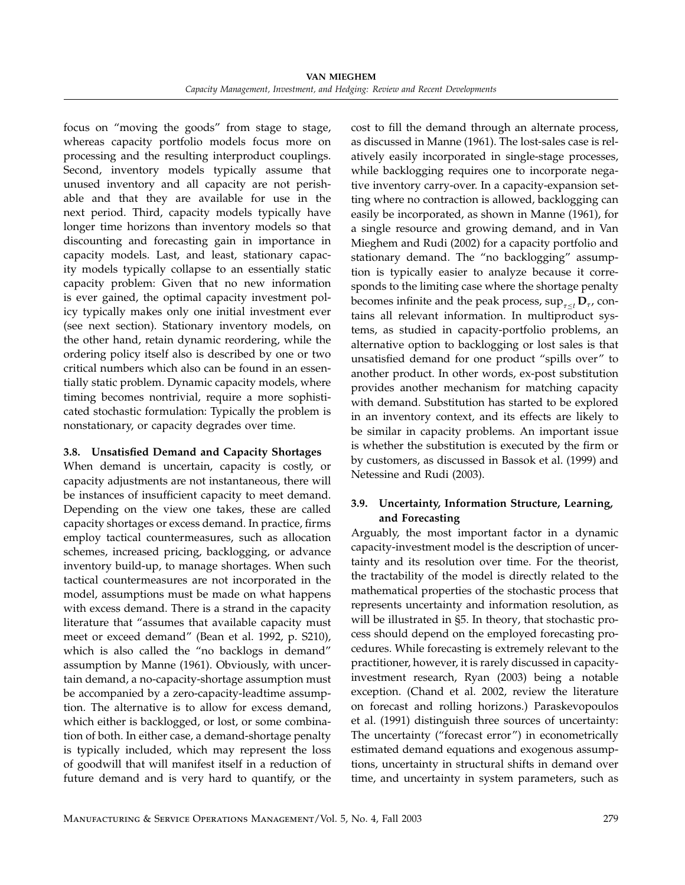focus on "moving the goods" from stage to stage, whereas capacity portfolio models focus more on processing and the resulting interproduct couplings. Second, inventory models typically assume that unused inventory and all capacity are not perishable and that they are available for use in the next period. Third, capacity models typically have longer time horizons than inventory models so that discounting and forecasting gain in importance in capacity models. Last, and least, stationary capacity models typically collapse to an essentially static capacity problem: Given that no new information is ever gained, the optimal capacity investment policy typically makes only one initial investment ever (see next section). Stationary inventory models, on the other hand, retain dynamic reordering, while the ordering policy itself also is described by one or two critical numbers which also can be found in an essentially static problem. Dynamic capacity models, where timing becomes nontrivial, require a more sophisticated stochastic formulation: Typically the problem is nonstationary, or capacity degrades over time.

#### 3.8. Unsatisfied Demand and Capacity Shortages

When demand is uncertain, capacity is costly, or capacity adjustments are not instantaneous, there will be instances of insufficient capacity to meet demand. Depending on the view one takes, these are called capacity shortages or excess demand. In practice, firms employ tactical countermeasures, such as allocation schemes, increased pricing, backlogging, or advance inventory build-up, to manage shortages. When such tactical countermeasures are not incorporated in the model, assumptions must be made on what happens with excess demand. There is a strand in the capacity literature that "assumes that available capacity must meet or exceed demand" (Bean et al. 1992, p. S210), which is also called the "no backlogs in demand" assumption by Manne (1961). Obviously, with uncertain demand, a no-capacity-shortage assumption must be accompanied by a zero-capacity-leadtime assumption. The alternative is to allow for excess demand, which either is backlogged, or lost, or some combination of both. In either case, a demand-shortage penalty is typically included, which may represent the loss of goodwill that will manifest itself in a reduction of future demand and is very hard to quantify, or the cost to fill the demand through an alternate process, as discussed in Manne (1961). The lost-sales case is relatively easily incorporated in single-stage processes, while backlogging requires one to incorporate negative inventory carry-over. In a capacity-expansion setting where no contraction is allowed, backlogging can easily be incorporated, as shown in Manne (1961), for a single resource and growing demand, and in Van Mieghem and Rudi (2002) for a capacity portfolio and stationary demand. The "no backlogging" assumption is typically easier to analyze because it corresponds to the limiting case where the shortage penalty becomes infinite and the peak process,  $\sup_{\tau \leq t} D_{\tau}$ , contains all relevant information. In multiproduct systems, as studied in capacity-portfolio problems, an alternative option to backlogging or lost sales is that unsatisfied demand for one product "spills over" to another product. In other words, ex-post substitution provides another mechanism for matching capacity with demand. Substitution has started to be explored in an inventory context, and its effects are likely to be similar in capacity problems. An important issue is whether the substitution is executed by the firm or by customers, as discussed in Bassok et al. (1999) and Netessine and Rudi (2003).

#### 3.9. Uncertainty, Information Structure, Learning, and Forecasting

Arguably, the most important factor in a dynamic capacity-investment model is the description of uncertainty and its resolution over time. For the theorist, the tractability of the model is directly related to the mathematical properties of the stochastic process that represents uncertainty and information resolution, as will be illustrated in §5. In theory, that stochastic process should depend on the employed forecasting procedures. While forecasting is extremely relevant to the practitioner, however, it is rarely discussed in capacityinvestment research, Ryan (2003) being a notable exception. (Chand et al. 2002, review the literature on forecast and rolling horizons.) Paraskevopoulos et al. (1991) distinguish three sources of uncertainty: The uncertainty ("forecast error") in econometrically estimated demand equations and exogenous assumptions, uncertainty in structural shifts in demand over time, and uncertainty in system parameters, such as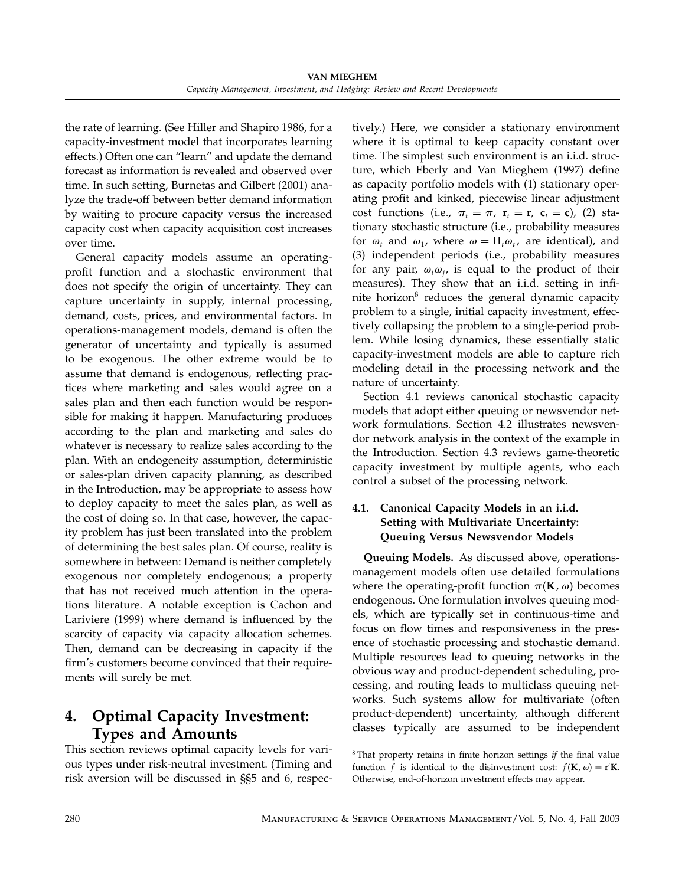the rate of learning. (See Hiller and Shapiro 1986, for a capacity-investment model that incorporates learning effects.) Often one can "learn" and update the demand forecast as information is revealed and observed over time. In such setting, Burnetas and Gilbert (2001) analyze the trade-off between better demand information by waiting to procure capacity versus the increased capacity cost when capacity acquisition cost increases over time.

General capacity models assume an operatingprofit function and a stochastic environment that does not specify the origin of uncertainty. They can capture uncertainty in supply, internal processing, demand, costs, prices, and environmental factors. In operations-management models, demand is often the generator of uncertainty and typically is assumed to be exogenous. The other extreme would be to assume that demand is endogenous, reflecting practices where marketing and sales would agree on a sales plan and then each function would be responsible for making it happen. Manufacturing produces according to the plan and marketing and sales do whatever is necessary to realize sales according to the plan. With an endogeneity assumption, deterministic or sales-plan driven capacity planning, as described in the Introduction, may be appropriate to assess how to deploy capacity to meet the sales plan, as well as the cost of doing so. In that case, however, the capacity problem has just been translated into the problem of determining the best sales plan. Of course, reality is somewhere in between: Demand is neither completely exogenous nor completely endogenous; a property that has not received much attention in the operations literature. A notable exception is Cachon and Lariviere (1999) where demand is influenced by the scarcity of capacity via capacity allocation schemes. Then, demand can be decreasing in capacity if the firm's customers become convinced that their requirements will surely be met.

# 4. Optimal Capacity Investment: Types and Amounts

This section reviews optimal capacity levels for various types under risk-neutral investment. (Timing and risk aversion will be discussed in §§5 and 6, respectively.) Here, we consider a stationary environment where it is optimal to keep capacity constant over time. The simplest such environment is an i.i.d. structure, which Eberly and Van Mieghem (1997) define as capacity portfolio models with (1) stationary operating profit and kinked, piecewise linear adjustment cost functions (i.e.,  $\pi_t = \pi$ ,  $\mathbf{r}_t = \mathbf{r}$ ,  $\mathbf{c}_t = \mathbf{c}$ ), (2) stationary stochastic structure (i.e., probability measures for  $\omega_t$  and  $\omega_1$ , where  $\omega = \Pi_t \omega_t$ , are identical), and (3) independent periods (i.e., probability measures for any pair,  $\omega_i \omega_j$ , is equal to the product of their measures). They show that an i.i.d. setting in infinite horizon<sup>8</sup> reduces the general dynamic capacity problem to a single, initial capacity investment, effectively collapsing the problem to a single-period problem. While losing dynamics, these essentially static capacity-investment models are able to capture rich modeling detail in the processing network and the nature of uncertainty.

Section 4.1 reviews canonical stochastic capacity models that adopt either queuing or newsvendor network formulations. Section 4.2 illustrates newsvendor network analysis in the context of the example in the Introduction. Section 4.3 reviews game-theoretic capacity investment by multiple agents, who each control a subset of the processing network.

#### 4.1. Canonical Capacity Models in an i.i.d. Setting with Multivariate Uncertainty: Queuing Versus Newsvendor Models

Queuing Models. As discussed above, operationsmanagement models often use detailed formulations where the operating-profit function  $\pi(\mathbf K, \omega)$  becomes endogenous. One formulation involves queuing models, which are typically set in continuous-time and focus on flow times and responsiveness in the presence of stochastic processing and stochastic demand. Multiple resources lead to queuing networks in the obvious way and product-dependent scheduling, processing, and routing leads to multiclass queuing networks. Such systems allow for multivariate (often product-dependent) uncertainty, although different classes typically are assumed to be independent

 $8$ That property retains in finite horizon settings if the final value function f is identical to the disinvestment cost:  $f(\mathbf{K}, \omega) = \mathbf{r}'\mathbf{K}$ . Otherwise, end-of-horizon investment effects may appear.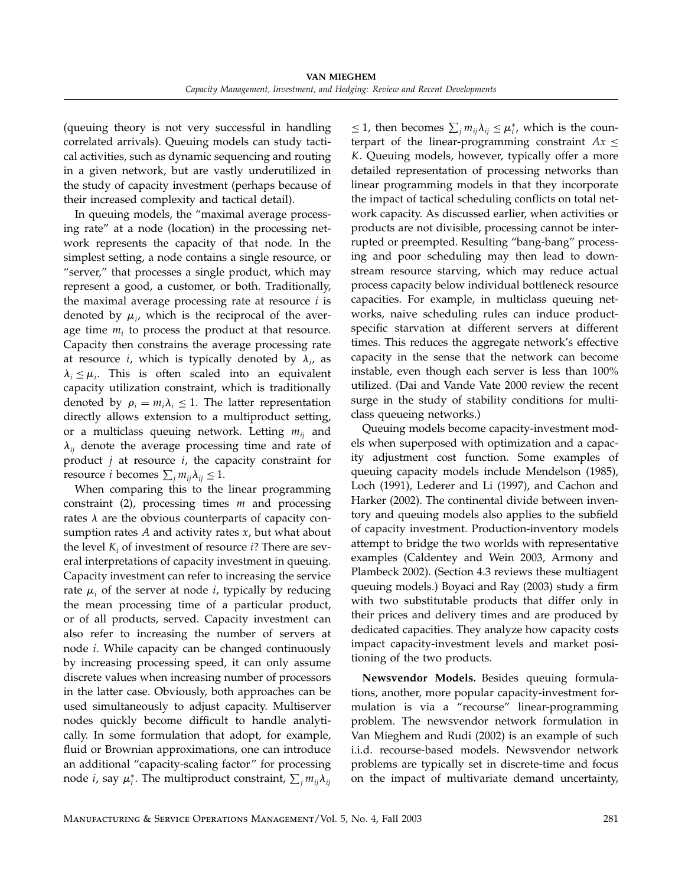(queuing theory is not very successful in handling correlated arrivals). Queuing models can study tactical activities, such as dynamic sequencing and routing in a given network, but are vastly underutilized in the study of capacity investment (perhaps because of their increased complexity and tactical detail).

In queuing models, the "maximal average processing rate" at a node (location) in the processing network represents the capacity of that node. In the simplest setting, a node contains a single resource, or "server," that processes a single product, which may represent a good, a customer, or both. Traditionally, the maximal average processing rate at resource  $i$  is denoted by  $\mu_i$ , which is the reciprocal of the average time  $m_i$  to process the product at that resource. Capacity then constrains the average processing rate at resource *i*, which is typically denoted by  $\lambda_i$ , as  $\lambda_i \leq \mu_i$ . This is often scaled into an equivalent capacity utilization constraint, which is traditionally denoted by  $\rho_i = m_i \lambda_i \leq 1$ . The latter representation directly allows extension to a multiproduct setting, or a multiclass queuing network. Letting  $m_{ii}$  and  $\lambda_{ij}$  denote the average processing time and rate of product  $j$  at resource  $i$ , the capacity constraint for resource *i* becomes  $\sum_i m_{ii} \lambda_{ii} \leq 1$ .

When comparing this to the linear programming constraint  $(2)$ , processing times *m* and processing rates  $\lambda$  are the obvious counterparts of capacity consumption rates  $A$  and activity rates  $x$ , but what about the level  $K_i$  of investment of resource *i*? There are several interpretations of capacity investment in queuing. Capacity investment can refer to increasing the service rate  $\mu_i$  of the server at node *i*, typically by reducing the mean processing time of a particular product, or of all products, served. Capacity investment can also refer to increasing the number of servers at node i. While capacity can be changed continuously by increasing processing speed, it can only assume discrete values when increasing number of processors in the latter case. Obviously, both approaches can be used simultaneously to adjust capacity. Multiserver nodes quickly become difficult to handle analytically. In some formulation that adopt, for example, fluid or Brownian approximations, one can introduce an additional "capacity-scaling factor" for processing node *i,* say  $\mu_i^*$ . The multiproduct constraint,  $\sum_j m_{ij} \lambda_{ij}$ 

 $\leq$  1, then becomes  $\sum_j m_{ij} \lambda_{ij} \leq \mu_i^*$ , which is the counterpart of the linear-programming constraint  $Ax \leq$ K. Queuing models, however, typically offer a more detailed representation of processing networks than linear programming models in that they incorporate the impact of tactical scheduling conflicts on total network capacity. As discussed earlier, when activities or products are not divisible, processing cannot be interrupted or preempted. Resulting "bang-bang" processing and poor scheduling may then lead to downstream resource starving, which may reduce actual process capacity below individual bottleneck resource capacities. For example, in multiclass queuing networks, naive scheduling rules can induce productspecific starvation at different servers at different times. This reduces the aggregate network's effective capacity in the sense that the network can become instable, even though each server is less than 100% utilized. (Dai and Vande Vate 2000 review the recent surge in the study of stability conditions for multiclass queueing networks.)

Queuing models become capacity-investment models when superposed with optimization and a capacity adjustment cost function. Some examples of queuing capacity models include Mendelson (1985), Loch (1991), Lederer and Li (1997), and Cachon and Harker (2002). The continental divide between inventory and queuing models also applies to the subfield of capacity investment. Production-inventory models attempt to bridge the two worlds with representative examples (Caldentey and Wein 2003, Armony and Plambeck 2002). (Section 4.3 reviews these multiagent queuing models.) Boyaci and Ray (2003) study a firm with two substitutable products that differ only in their prices and delivery times and are produced by dedicated capacities. They analyze how capacity costs impact capacity-investment levels and market positioning of the two products.

Newsvendor Models. Besides queuing formulations, another, more popular capacity-investment formulation is via a "recourse" linear-programming problem. The newsvendor network formulation in Van Mieghem and Rudi (2002) is an example of such i.i.d. recourse-based models. Newsvendor network problems are typically set in discrete-time and focus on the impact of multivariate demand uncertainty,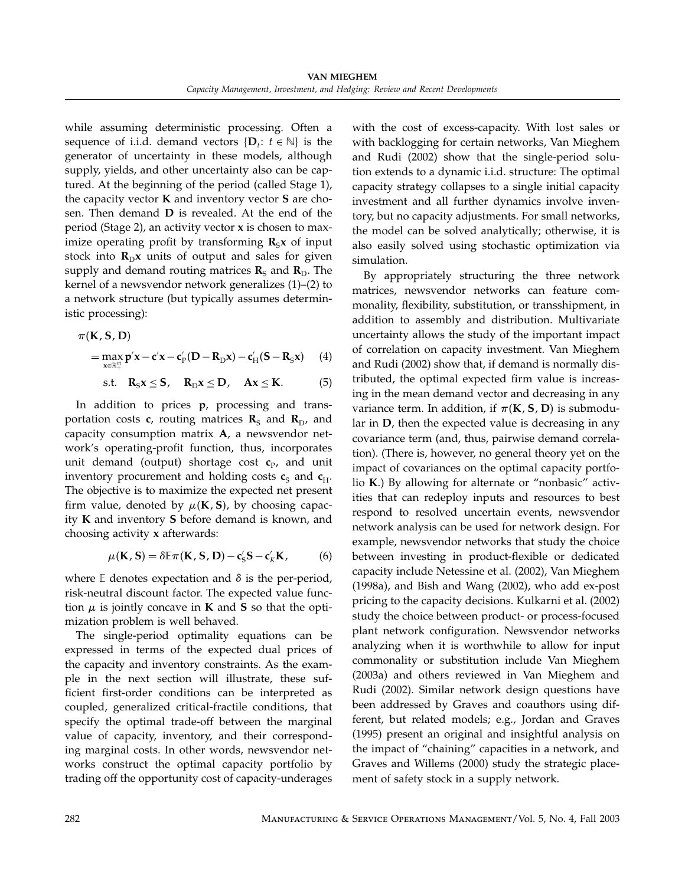while assuming deterministic processing. Often a sequence of i.i.d. demand vectors  $\{D_t: t \in \mathbb{N}\}\)$  is the generator of uncertainty in these models, although supply, yields, and other uncertainty also can be captured. At the beginning of the period (called Stage 1), the capacity vector  $K$  and inventory vector  $S$  are chosen. Then demand D is revealed. At the end of the period (Stage 2), an activity vector x is chosen to maximize operating profit by transforming  $\mathbf{R}_s\mathbf{x}$  of input stock into  $\mathbf{R}_D\mathbf{x}$  units of output and sales for given supply and demand routing matrices  $\mathbf{R}_{\rm s}$  and  $\mathbf{R}_{\rm D}$ . The kernel of a newsvendor network generalizes (1)–(2) to a network structure (but typically assumes deterministic processing):

$$
\pi(\mathbf{K}, \mathbf{S}, \mathbf{D})
$$
  
= 
$$
\max_{\mathbf{x} \in \mathbb{R}_+^m} \mathbf{p}'\mathbf{x} - \mathbf{c}'\mathbf{x} - \mathbf{c}'_{\mathbf{P}}(\mathbf{D} - \mathbf{R}_{\mathbf{D}}\mathbf{x}) - \mathbf{c}'_{\mathbf{H}}(\mathbf{S} - \mathbf{R}_{\mathbf{S}}\mathbf{x})
$$
 (4)

$$
\quad \text{s.t.} \quad R_{\textnormal{\textsc{S}}}x \leq S, \quad R_{\textnormal{\textsc{D}}}x \leq D, \quad Ax \leq K. \tag{5}
$$

In addition to prices p, processing and transportation costs c, routing matrices  $\mathbf{R}_{\rm s}$  and  $\mathbf{R}_{\rm p}$ , and capacity consumption matrix A, a newsvendor network's operating-profit function, thus, incorporates unit demand (output) shortage cost  $c_{P}$ , and unit inventory procurement and holding costs  $c_s$  and  $c_H$ . The objective is to maximize the expected net present firm value, denoted by  $\mu(K,S)$ , by choosing capacity K and inventory S before demand is known, and choosing activity x afterwards:

$$
\mu(\mathbf{K}, \mathbf{S}) = \delta \mathbb{E} \pi(\mathbf{K}, \mathbf{S}, \mathbf{D}) - \mathbf{c}'_{\mathrm{S}} \mathbf{S} - \mathbf{c}'_{\mathrm{K}} \mathbf{K},
$$
 (6)

where  $E$  denotes expectation and  $\delta$  is the per-period, risk-neutral discount factor. The expected value function  $\mu$  is jointly concave in **K** and **S** so that the optimization problem is well behaved.

The single-period optimality equations can be expressed in terms of the expected dual prices of the capacity and inventory constraints. As the example in the next section will illustrate, these sufficient first-order conditions can be interpreted as coupled, generalized critical-fractile conditions, that specify the optimal trade-off between the marginal value of capacity, inventory, and their corresponding marginal costs. In other words, newsvendor networks construct the optimal capacity portfolio by trading off the opportunity cost of capacity-underages

with the cost of excess-capacity. With lost sales or with backlogging for certain networks, Van Mieghem and Rudi (2002) show that the single-period solution extends to a dynamic i.i.d. structure: The optimal capacity strategy collapses to a single initial capacity investment and all further dynamics involve inventory, but no capacity adjustments. For small networks, the model can be solved analytically; otherwise, it is also easily solved using stochastic optimization via simulation.

By appropriately structuring the three network matrices, newsvendor networks can feature commonality, flexibility, substitution, or transshipment, in addition to assembly and distribution. Multivariate uncertainty allows the study of the important impact of correlation on capacity investment. Van Mieghem and Rudi (2002) show that, if demand is normally distributed, the optimal expected firm value is increasing in the mean demand vector and decreasing in any variance term. In addition, if  $\pi(\mathbf{K},\mathbf{S},\mathbf{D})$  is submodular in D, then the expected value is decreasing in any covariance term (and, thus, pairwise demand correlation). (There is, however, no general theory yet on the impact of covariances on the optimal capacity portfolio K.) By allowing for alternate or "nonbasic" activities that can redeploy inputs and resources to best respond to resolved uncertain events, newsvendor network analysis can be used for network design. For example, newsvendor networks that study the choice between investing in product-flexible or dedicated capacity include Netessine et al. (2002), Van Mieghem (1998a), and Bish and Wang (2002), who add ex-post pricing to the capacity decisions. Kulkarni et al. (2002) study the choice between product- or process-focused plant network configuration. Newsvendor networks analyzing when it is worthwhile to allow for input commonality or substitution include Van Mieghem (2003a) and others reviewed in Van Mieghem and Rudi (2002). Similar network design questions have been addressed by Graves and coauthors using different, but related models; e.g., Jordan and Graves (1995) present an original and insightful analysis on the impact of "chaining" capacities in a network, and Graves and Willems (2000) study the strategic placement of safety stock in a supply network.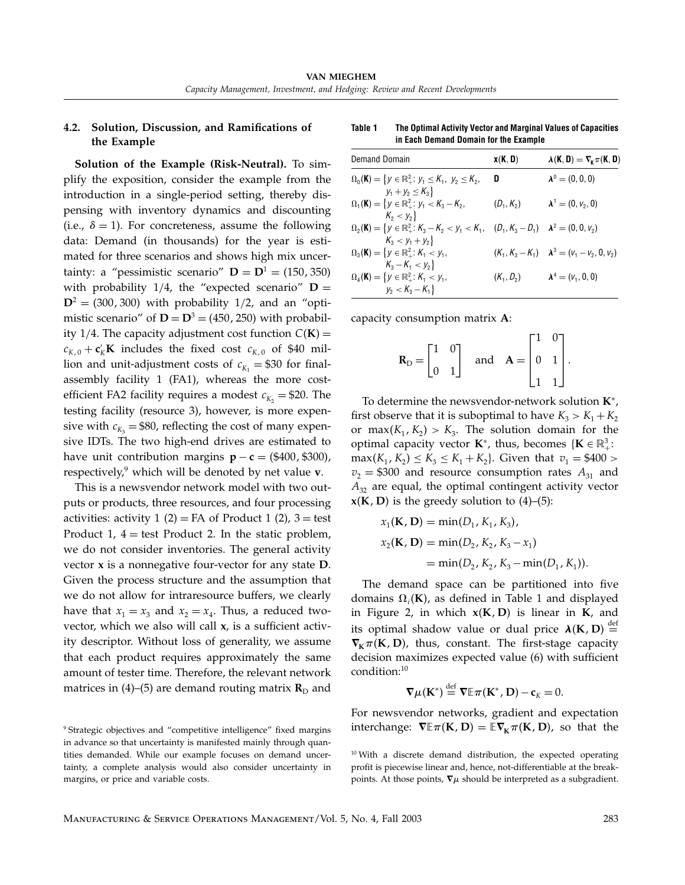#### 4.2. Solution, Discussion, and Ramifications of the Example

Solution of the Example (Risk-Neutral). To simplify the exposition, consider the example from the introduction in a single-period setting, thereby dispensing with inventory dynamics and discounting (i.e.,  $\delta = 1$ ). For concreteness, assume the following data: Demand (in thousands) for the year is estimated for three scenarios and shows high mix uncertainty: a "pessimistic scenario"  $D = D<sup>1</sup> = (150, 350)$ with probability 1/4, the "expected scenario"  $D =$  $D^2 = (300, 300)$  with probability 1/2, and an "optimistic scenario" of  $D = D^3 = (450, 250)$  with probability 1/4. The capacity adjustment cost function  $C({\bf K}) =$  $c_{K,0} + \mathbf{c}_K' \mathbf{K}$  includes the fixed cost  $c_{K,0}$  of \$40 million and unit-adjustment costs of  $c_{K_1} = $30$  for finalassembly facility 1 (FA1), whereas the more costefficient FA2 facility requires a modest  $c_{K_2} = $20$ . The testing facility (resource 3), however, is more expensive with  $c_{K_3}$  = \$80, reflecting the cost of many expensive IDTs. The two high-end drives are estimated to have unit contribution margins  $\mathbf{p} - \mathbf{c} = (\$400, \$300)$ , respectively, $9$  which will be denoted by net value v.

This is a newsvendor network model with two outputs or products, three resources, and four processing activities: activity  $1(2)$  = FA of Product  $1(2)$ ,  $3 =$  test Product 1,  $4 = \text{test Product 2}$ . In the static problem, we do not consider inventories. The general activity vector  $x$  is a nonnegative four-vector for any state  $D$ . Given the process structure and the assumption that we do not allow for intraresource buffers, we clearly have that  $x_1 = x_3$  and  $x_2 = x_4$ . Thus, a reduced twovector, which we also will call  $x$ , is a sufficient activity descriptor. Without loss of generality, we assume that each product requires approximately the same amount of tester time. Therefore, the relevant network matrices in (4)–(5) are demand routing matrix  $\mathbf{R}_{\text{D}}$  and

Table 1 The Optimal Activity Vector and Marginal Values of Capacities in Each Demand Domain for the Example

| Demand Domain                                                                                                                     | x(K, D)      | $\lambda(K, D) = \nabla_K \pi(K, D)$                 |
|-----------------------------------------------------------------------------------------------------------------------------------|--------------|------------------------------------------------------|
| $\Omega_0(\mathbf{K}) = \{ y \in \mathbb{R}^2_+ : y_1 \leq K_1, y_2 \leq K_2,$                                                    | D            | $\lambda^0 = (0, 0, 0)$                              |
| $y_1 + y_2 \leq K_3$<br>$\Omega_1(\mathbf{K}) = \{ y \in \mathbb{R}^2_+ : y_1 < K_3 - K_2,$<br>$K_2 < V_2$                        | $(D_1, K_2)$ | $\lambda^1 = (0, v_2, 0)$                            |
| $\Omega_2(\mathbf{K}) = \{ y \in \mathbb{R}^2_+ : K_3 - K_2 < y_1 < K_1, \quad (D_1, K_3 - D_1) \quad \lambda^2 = (0, 0, v_2) \}$ |              |                                                      |
| $K_3 < V_1 + V_2$<br>$\Omega_3(\mathbf{K}) = \{ y \in \mathbb{R}^2_+ : K_1 < y_1,$                                                |              | $(K_1, K_3 - K_1)$ $\lambda^3 = (V_1 - V_2, 0, V_2)$ |
| $K_3 - K_1 < y_2$<br>$\Omega_4(\mathbf{K}) = \{ y \in \mathbb{R}^2_+ : K_1 < y_1,$                                                | $(K_1, D_2)$ | $\lambda^4 = (V_1, 0, 0)$                            |
| $y_2 < K_3 - K_1$                                                                                                                 |              |                                                      |

capacity consumption matrix A:

$$
\mathbf{R}_{\mathrm{D}} = \begin{bmatrix} 1 & 0 \\ 0 & 1 \end{bmatrix} \quad \text{and} \quad \mathbf{A} = \begin{bmatrix} 1 & 0 \\ 0 & 1 \\ 1 & 1 \end{bmatrix}.
$$

To determine the newsvendor-network solution K∗, first observe that it is suboptimal to have  $K_3 > K_1 + K_2$ or max $(K_1, K_2) > K_3$ . The solution domain for the optimal capacity vector **K**<sup>\*</sup>, thus, becomes {**K**  $\in \mathbb{R}^3_+$ :  $max(K_1, K_2) \le K_3 \le K_1 + K_2$ . Given that  $v_1 = $400 >$  $v_2$  = \$300 and resource consumption rates  $A_{31}$  and  $A_{32}$  are equal, the optimal contingent activity vector  $x(K, D)$  is the greedy solution to  $(4)$ – $(5)$ :

$$
x_1(\mathbf{K}, \mathbf{D}) = \min(D_1, K_1, K_3),
$$
  
\n
$$
x_2(\mathbf{K}, \mathbf{D}) = \min(D_2, K_2, K_3 - x_1)
$$
  
\n
$$
= \min(D_2, K_2, K_3 - \min(D_1, K_1)).
$$

The demand space can be partitioned into five domains  $\Omega_i({\bf K})$ , as defined in Table 1 and displayed in Figure 2, in which  $x(K,D)$  is linear in  $K$ , and its optimal shadow value or dual price  $\lambda(K, D) \stackrel{\text{def}}{=}$  $\nabla_{\!K} \pi(K, D)$ , thus, constant. The first-stage capacity decision maximizes expected value (6) with sufficient condition:<sup>10</sup>

$$
\nabla \mu(\mathbf{K}^*) \stackrel{\text{def}}{=} \nabla \mathbb{E} \pi(\mathbf{K}^*, \mathbf{D}) - \mathbf{c}_K = 0.
$$

For newsvendor networks, gradient and expectation interchange:  $\nabla \mathbb{E} \pi(\mathbf{K}, \mathbf{D}) = \mathbb{E} \nabla_{\mathbf{K}} \pi(\mathbf{K}, \mathbf{D})$ , so that the

<sup>&</sup>lt;sup>9</sup> Strategic objectives and "competitive intelligence" fixed margins in advance so that uncertainty is manifested mainly through quantities demanded. While our example focuses on demand uncertainty, a complete analysis would also consider uncertainty in margins, or price and variable costs.

 $10$  With a discrete demand distribution, the expected operating profit is piecewise linear and, hence, not-differentiable at the breakpoints. At those points,  $\nabla \mu$  should be interpreted as a subgradient.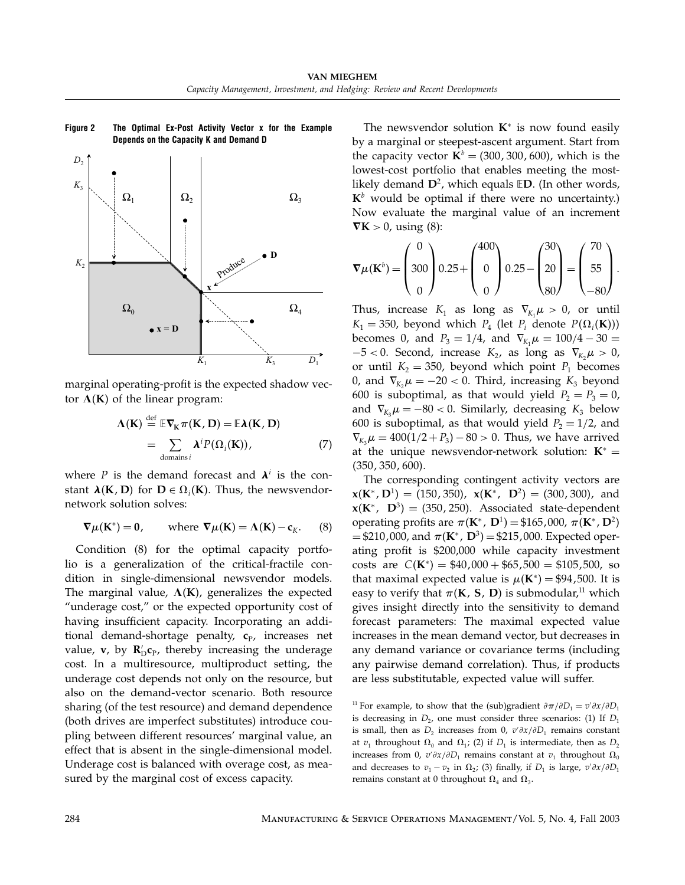

Figure 2 The Optimal Ex-Post Activity Vector x for the Example Depends on the Capacity K and Demand D

marginal operating-profit is the expected shadow vector  $\Lambda(K)$  of the linear program:

$$
\Lambda(\mathbf{K}) \stackrel{\text{def}}{=} \mathbb{E} \nabla_{\mathbf{K}} \pi(\mathbf{K}, \mathbf{D}) = \mathbb{E} \lambda(\mathbf{K}, \mathbf{D})
$$

$$
= \sum_{\text{domains } i} \lambda^i P(\Omega_i(\mathbf{K})), \tag{7}
$$

where P is the demand forecast and  $\lambda^i$  is the constant  $\lambda(K, D)$  for  $D \in \Omega_i(K)$ . Thus, the newsvendornetwork solution solves:

$$
\nabla \mu(\mathbf{K}^*) = \mathbf{0}
$$
, where  $\nabla \mu(\mathbf{K}) = \Lambda(\mathbf{K}) - \mathbf{c}_K$ . (8)

Condition (8) for the optimal capacity portfolio is a generalization of the critical-fractile condition in single-dimensional newsvendor models. The marginal value,  $\Lambda(K)$ , generalizes the expected "underage cost," or the expected opportunity cost of having insufficient capacity. Incorporating an additional demand-shortage penalty,  $c_{P}$ , increases net value,  $\mathbf{v}$ , by  $\mathbf{R}'_{\mathsf{D}}\mathbf{c}_{\mathsf{P}}$ , thereby increasing the underage cost. In a multiresource, multiproduct setting, the underage cost depends not only on the resource, but also on the demand-vector scenario. Both resource sharing (of the test resource) and demand dependence (both drives are imperfect substitutes) introduce coupling between different resources' marginal value, an effect that is absent in the single-dimensional model. Underage cost is balanced with overage cost, as measured by the marginal cost of excess capacity.

The newsvendor solution  $K^*$  is now found easily by a marginal or steepest-ascent argument. Start from the capacity vector  $\mathbf{K}^b = (300, 300, 600)$ , which is the lowest-cost portfolio that enables meeting the mostlikely demand  $D^2$ , which equals  $ED$ . (In other words,  $K^b$  would be optimal if there were no uncertainty.) Now evaluate the marginal value of an increment  $\nabla K > 0$ , using (8):

$$
\nabla \mu(\mathbf{K}^{b}) = \begin{pmatrix} 0 \\ 300 \\ 0 \end{pmatrix} 0.25 + \begin{pmatrix} 400 \\ 0 \\ 0 \end{pmatrix} 0.25 - \begin{pmatrix} 30 \\ 20 \\ 80 \end{pmatrix} = \begin{pmatrix} 70 \\ 55 \\ -80 \end{pmatrix}.
$$

Thus, increase  $K_1$  as long as  $\nabla_{K_1}\mu > 0$ , or until  $K_1 = 350$ , beyond which  $P_4$  (let  $P_i$  denote  $P(\Omega_i(K)))$ becomes 0, and  $P_3 = 1/4$ , and  $\nabla_{K_1} \mu = 100/4 - 30 =$  $-5$  < 0. Second, increase  $K_2$ , as long as  $\nabla_{K_2}\mu > 0$ , or until  $K_2 = 350$ , beyond which point  $P_1$  becomes 0, and  $\nabla_{K_2}\mu = -20 < 0$ . Third, increasing  $K_3$  beyond 600 is suboptimal, as that would yield  $P_2 = P_3 = 0$ , and  $\nabla_{K_3}\mu = -80 < 0$ . Similarly, decreasing  $K_3$  below 600 is suboptimal, as that would yield  $P_2 = 1/2$ , and  $\nabla_{K_3}\mu = 400(1/2 + P_3) - 80 > 0$ . Thus, we have arrived at the unique newsvendor-network solution:  $K^* =$  $(350, 350, 600).$ 

The corresponding contingent activity vectors are  $\mathbf{x}(\mathbf{K}^*, \mathbf{D}^1) = (150, 350), \mathbf{x}(\mathbf{K}^*, \mathbf{D}^2) = (300, 300), \text{ and}$  $\mathbf{x}(\mathbf{K}^*, \ \mathbf{D}^3) = (350, 250)$ . Associated state-dependent operating profits are  $\pi(\mathbf{K}^*, \mathbf{D}^1) = $165,000, \pi(\mathbf{K}^*, \mathbf{D}^2)$  $= $210,000$ , and  $\pi(\mathbf{K}^*, \, \mathbf{D}^3) = $215,000$ . Expected operating profit is \$200,000 while capacity investment costs are  $C(K^*) = $40,000 + $65,500 = $105,500, so$ that maximal expected value is  $\mu(\mathbf{K}^*) = \$94,500$ . It is easy to verify that  $\pi(\mathbf{K},\,\mathbf{S},\,\mathbf{D})$  is submodular, $^{11}$  which gives insight directly into the sensitivity to demand forecast parameters: The maximal expected value increases in the mean demand vector, but decreases in any demand variance or covariance terms (including any pairwise demand correlation). Thus, if products are less substitutable, expected value will suffer.

<sup>11</sup> For example, to show that the (sub)gradient  $\partial \pi / \partial D_1 = v' \partial x / \partial D_1$ is decreasing in  $D_2$ , one must consider three scenarios: (1) If  $D_1$ is small, then as  $D_2$  increases from 0,  $v' \partial x / \partial D_1$  remains constant at  $v_1$  throughout  $\Omega_0$  and  $\Omega_1$ ; (2) if  $D_1$  is intermediate, then as  $D_2$ increases from 0,  $v' \partial x/\partial D_1$  remains constant at  $v_1$  throughout  $\Omega_0$ and decreases to  $v_1 - v_2$  in  $\Omega_2$ ; (3) finally, if  $D_1$  is large,  $v' \partial x / \partial D_1$ remains constant at 0 throughout  $\Omega_4$  and  $\Omega_3$ .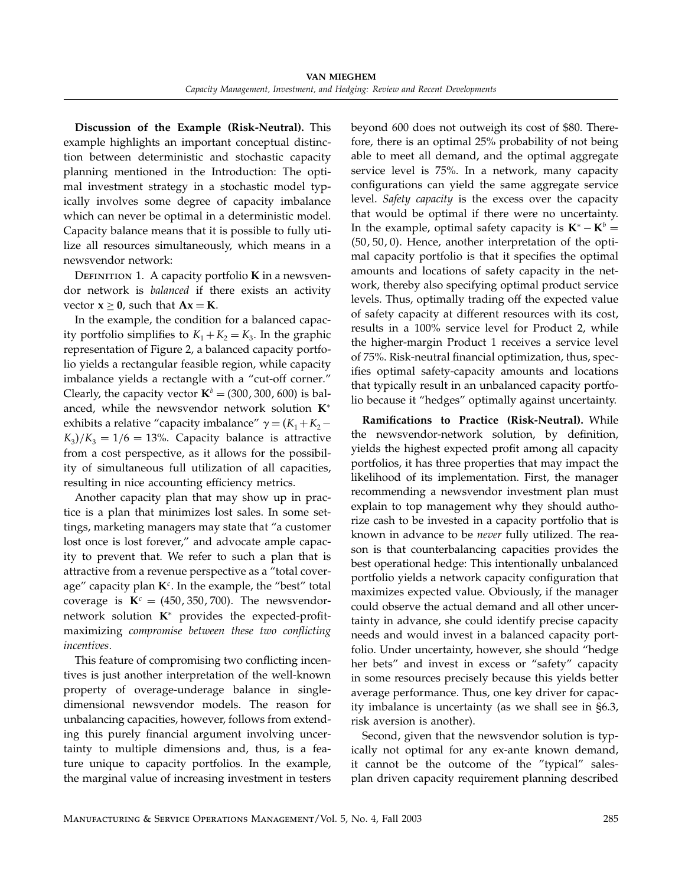Discussion of the Example (Risk-Neutral). This example highlights an important conceptual distinction between deterministic and stochastic capacity planning mentioned in the Introduction: The optimal investment strategy in a stochastic model typically involves some degree of capacity imbalance which can never be optimal in a deterministic model. Capacity balance means that it is possible to fully utilize all resources simultaneously, which means in a newsvendor network:

DEFINITION 1. A capacity portfolio  $K$  in a newsvendor network is balanced if there exists an activity vector  $x \ge 0$ , such that  $Ax = K$ .

In the example, the condition for a balanced capacity portfolio simplifies to  $K_1 + K_2 = K_3$ . In the graphic representation of Figure 2, a balanced capacity portfolio yields a rectangular feasible region, while capacity imbalance yields a rectangle with a "cut-off corner." Clearly, the capacity vector  $\mathbf{K}^b = (300, 300, 600)$  is balanced, while the newsvendor network solution K<sup>∗</sup> exhibits a relative "capacity imbalance"  $\gamma = (K_1 + K_2 (K_3)/K_3 = 1/6 = 13\%$ . Capacity balance is attractive from a cost perspective, as it allows for the possibility of simultaneous full utilization of all capacities, resulting in nice accounting efficiency metrics.

Another capacity plan that may show up in practice is a plan that minimizes lost sales. In some settings, marketing managers may state that "a customer lost once is lost forever," and advocate ample capacity to prevent that. We refer to such a plan that is attractive from a revenue perspective as a "total coverage" capacity plan  $K^c$ . In the example, the "best" total coverage is  $K^c = (450, 350, 700)$ . The newsvendornetwork solution K<sup>∗</sup> provides the expected-profitmaximizing compromise between these two conflicting incentives.

This feature of compromising two conflicting incentives is just another interpretation of the well-known property of overage-underage balance in singledimensional newsvendor models. The reason for unbalancing capacities, however, follows from extending this purely financial argument involving uncertainty to multiple dimensions and, thus, is a feature unique to capacity portfolios. In the example, the marginal value of increasing investment in testers

beyond 600 does not outweigh its cost of \$80. Therefore, there is an optimal 25% probability of not being able to meet all demand, and the optimal aggregate service level is 75%. In a network, many capacity configurations can yield the same aggregate service level. Safety capacity is the excess over the capacity that would be optimal if there were no uncertainty. In the example, optimal safety capacity is  $K^* - K^b =$ 50 50 0 . Hence, another interpretation of the optimal capacity portfolio is that it specifies the optimal amounts and locations of safety capacity in the network, thereby also specifying optimal product service levels. Thus, optimally trading off the expected value of safety capacity at different resources with its cost, results in a 100% service level for Product 2, while the higher-margin Product 1 receives a service level of 75%. Risk-neutral financial optimization, thus, specifies optimal safety-capacity amounts and locations that typically result in an unbalanced capacity portfolio because it "hedges" optimally against uncertainty.

Ramifications to Practice (Risk-Neutral). While the newsvendor-network solution, by definition, yields the highest expected profit among all capacity portfolios, it has three properties that may impact the likelihood of its implementation. First, the manager recommending a newsvendor investment plan must explain to top management why they should authorize cash to be invested in a capacity portfolio that is known in advance to be *never* fully utilized. The reason is that counterbalancing capacities provides the best operational hedge: This intentionally unbalanced portfolio yields a network capacity configuration that maximizes expected value. Obviously, if the manager could observe the actual demand and all other uncertainty in advance, she could identify precise capacity needs and would invest in a balanced capacity portfolio. Under uncertainty, however, she should "hedge her bets" and invest in excess or "safety" capacity in some resources precisely because this yields better average performance. Thus, one key driver for capacity imbalance is uncertainty (as we shall see in §6.3, risk aversion is another).

Second, given that the newsvendor solution is typically not optimal for any ex-ante known demand, it cannot be the outcome of the "typical" salesplan driven capacity requirement planning described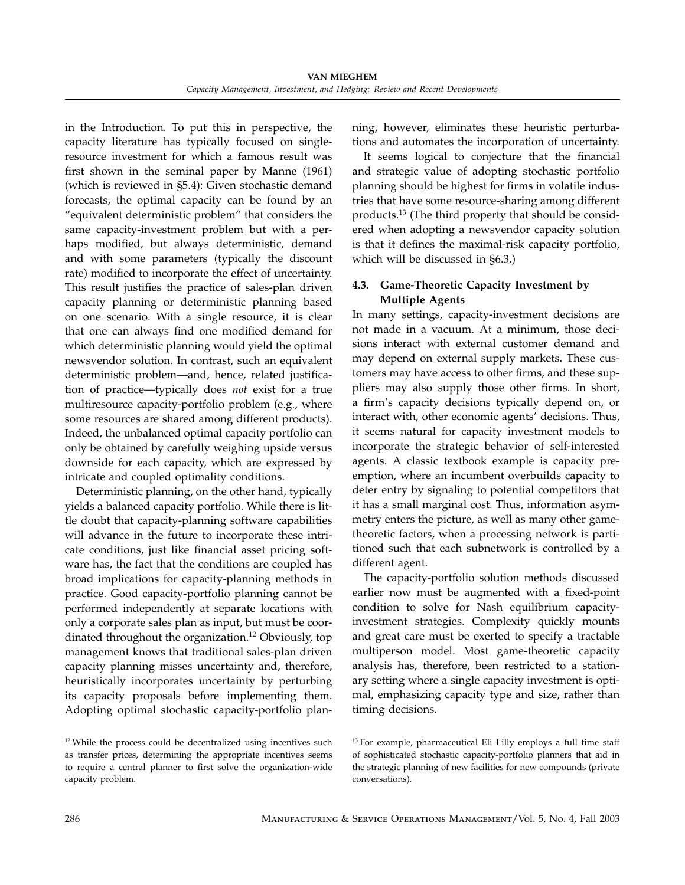in the Introduction. To put this in perspective, the capacity literature has typically focused on singleresource investment for which a famous result was first shown in the seminal paper by Manne (1961) (which is reviewed in §5.4): Given stochastic demand forecasts, the optimal capacity can be found by an "equivalent deterministic problem" that considers the same capacity-investment problem but with a perhaps modified, but always deterministic, demand and with some parameters (typically the discount rate) modified to incorporate the effect of uncertainty. This result justifies the practice of sales-plan driven capacity planning or deterministic planning based on one scenario. With a single resource, it is clear that one can always find one modified demand for which deterministic planning would yield the optimal newsvendor solution. In contrast, such an equivalent deterministic problem—and, hence, related justification of practice—typically does not exist for a true multiresource capacity-portfolio problem (e.g., where some resources are shared among different products). Indeed, the unbalanced optimal capacity portfolio can only be obtained by carefully weighing upside versus downside for each capacity, which are expressed by intricate and coupled optimality conditions.

Deterministic planning, on the other hand, typically yields a balanced capacity portfolio. While there is little doubt that capacity-planning software capabilities will advance in the future to incorporate these intricate conditions, just like financial asset pricing software has, the fact that the conditions are coupled has broad implications for capacity-planning methods in practice. Good capacity-portfolio planning cannot be performed independently at separate locations with only a corporate sales plan as input, but must be coordinated throughout the organization.<sup>12</sup> Obviously, top management knows that traditional sales-plan driven capacity planning misses uncertainty and, therefore, heuristically incorporates uncertainty by perturbing its capacity proposals before implementing them. Adopting optimal stochastic capacity-portfolio planning, however, eliminates these heuristic perturbations and automates the incorporation of uncertainty.

It seems logical to conjecture that the financial and strategic value of adopting stochastic portfolio planning should be highest for firms in volatile industries that have some resource-sharing among different products.<sup>13</sup> (The third property that should be considered when adopting a newsvendor capacity solution is that it defines the maximal-risk capacity portfolio, which will be discussed in §6.3.)

#### 4.3. Game-Theoretic Capacity Investment by Multiple Agents

In many settings, capacity-investment decisions are not made in a vacuum. At a minimum, those decisions interact with external customer demand and may depend on external supply markets. These customers may have access to other firms, and these suppliers may also supply those other firms. In short, a firm's capacity decisions typically depend on, or interact with, other economic agents' decisions. Thus, it seems natural for capacity investment models to incorporate the strategic behavior of self-interested agents. A classic textbook example is capacity preemption, where an incumbent overbuilds capacity to deter entry by signaling to potential competitors that it has a small marginal cost. Thus, information asymmetry enters the picture, as well as many other gametheoretic factors, when a processing network is partitioned such that each subnetwork is controlled by a different agent.

The capacity-portfolio solution methods discussed earlier now must be augmented with a fixed-point condition to solve for Nash equilibrium capacityinvestment strategies. Complexity quickly mounts and great care must be exerted to specify a tractable multiperson model. Most game-theoretic capacity analysis has, therefore, been restricted to a stationary setting where a single capacity investment is optimal, emphasizing capacity type and size, rather than timing decisions.

<sup>&</sup>lt;sup>12</sup> While the process could be decentralized using incentives such as transfer prices, determining the appropriate incentives seems to require a central planner to first solve the organization-wide capacity problem.

<sup>&</sup>lt;sup>13</sup> For example, pharmaceutical Eli Lilly employs a full time staff of sophisticated stochastic capacity-portfolio planners that aid in the strategic planning of new facilities for new compounds (private conversations).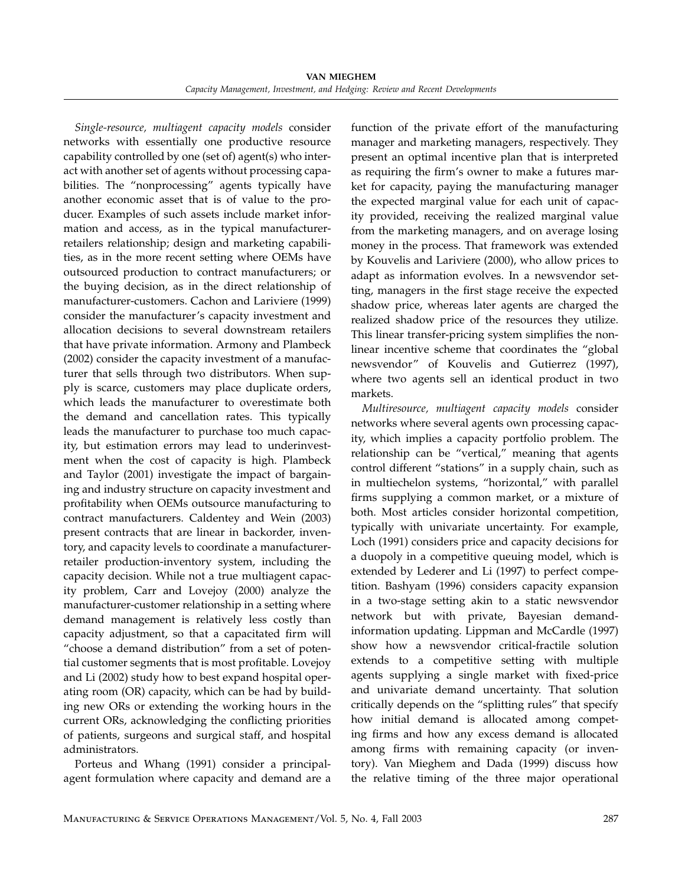Single-resource, multiagent capacity models consider networks with essentially one productive resource capability controlled by one (set of) agent(s) who interact with another set of agents without processing capabilities. The "nonprocessing" agents typically have another economic asset that is of value to the producer. Examples of such assets include market information and access, as in the typical manufacturerretailers relationship; design and marketing capabilities, as in the more recent setting where OEMs have outsourced production to contract manufacturers; or the buying decision, as in the direct relationship of manufacturer-customers. Cachon and Lariviere (1999) consider the manufacturer's capacity investment and allocation decisions to several downstream retailers that have private information. Armony and Plambeck (2002) consider the capacity investment of a manufacturer that sells through two distributors. When supply is scarce, customers may place duplicate orders, which leads the manufacturer to overestimate both the demand and cancellation rates. This typically leads the manufacturer to purchase too much capacity, but estimation errors may lead to underinvestment when the cost of capacity is high. Plambeck and Taylor (2001) investigate the impact of bargaining and industry structure on capacity investment and profitability when OEMs outsource manufacturing to contract manufacturers. Caldentey and Wein (2003) present contracts that are linear in backorder, inventory, and capacity levels to coordinate a manufacturerretailer production-inventory system, including the capacity decision. While not a true multiagent capacity problem, Carr and Lovejoy (2000) analyze the manufacturer-customer relationship in a setting where demand management is relatively less costly than capacity adjustment, so that a capacitated firm will "choose a demand distribution" from a set of potential customer segments that is most profitable. Lovejoy and Li (2002) study how to best expand hospital operating room (OR) capacity, which can be had by building new ORs or extending the working hours in the current ORs, acknowledging the conflicting priorities of patients, surgeons and surgical staff, and hospital administrators.

Porteus and Whang (1991) consider a principalagent formulation where capacity and demand are a

function of the private effort of the manufacturing manager and marketing managers, respectively. They present an optimal incentive plan that is interpreted as requiring the firm's owner to make a futures market for capacity, paying the manufacturing manager the expected marginal value for each unit of capacity provided, receiving the realized marginal value from the marketing managers, and on average losing money in the process. That framework was extended by Kouvelis and Lariviere (2000), who allow prices to adapt as information evolves. In a newsvendor setting, managers in the first stage receive the expected shadow price, whereas later agents are charged the realized shadow price of the resources they utilize. This linear transfer-pricing system simplifies the nonlinear incentive scheme that coordinates the "global newsvendor" of Kouvelis and Gutierrez (1997), where two agents sell an identical product in two markets.

Multiresource, multiagent capacity models consider networks where several agents own processing capacity, which implies a capacity portfolio problem. The relationship can be "vertical," meaning that agents control different "stations" in a supply chain, such as in multiechelon systems, "horizontal," with parallel firms supplying a common market, or a mixture of both. Most articles consider horizontal competition, typically with univariate uncertainty. For example, Loch (1991) considers price and capacity decisions for a duopoly in a competitive queuing model, which is extended by Lederer and Li (1997) to perfect competition. Bashyam (1996) considers capacity expansion in a two-stage setting akin to a static newsvendor network but with private, Bayesian demandinformation updating. Lippman and McCardle (1997) show how a newsvendor critical-fractile solution extends to a competitive setting with multiple agents supplying a single market with fixed-price and univariate demand uncertainty. That solution critically depends on the "splitting rules" that specify how initial demand is allocated among competing firms and how any excess demand is allocated among firms with remaining capacity (or inventory). Van Mieghem and Dada (1999) discuss how the relative timing of the three major operational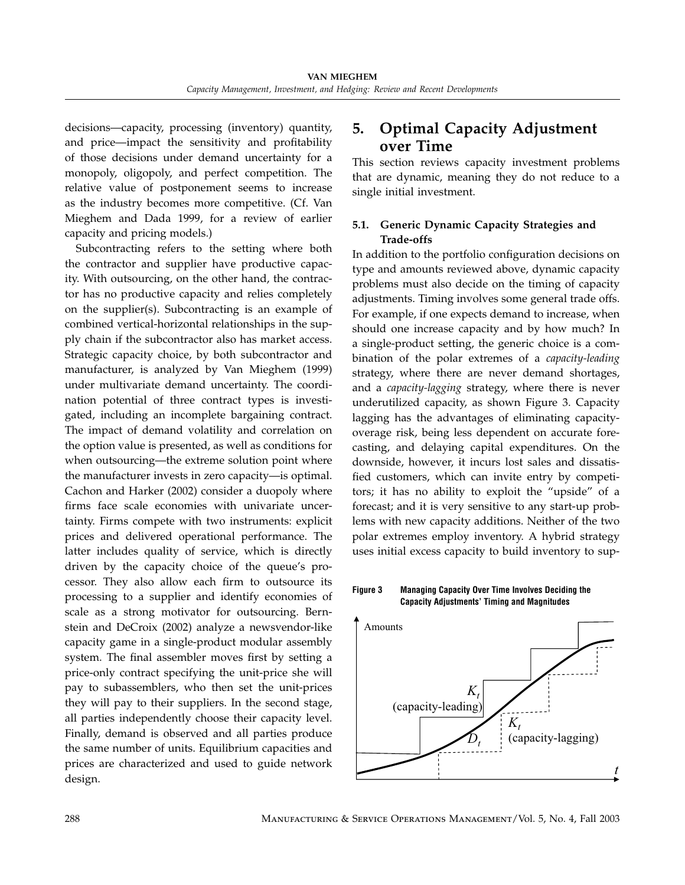decisions—capacity, processing (inventory) quantity, and price—impact the sensitivity and profitability of those decisions under demand uncertainty for a monopoly, oligopoly, and perfect competition. The relative value of postponement seems to increase as the industry becomes more competitive. (Cf. Van Mieghem and Dada 1999, for a review of earlier capacity and pricing models.)

Subcontracting refers to the setting where both the contractor and supplier have productive capacity. With outsourcing, on the other hand, the contractor has no productive capacity and relies completely on the supplier(s). Subcontracting is an example of combined vertical-horizontal relationships in the supply chain if the subcontractor also has market access. Strategic capacity choice, by both subcontractor and manufacturer, is analyzed by Van Mieghem (1999) under multivariate demand uncertainty. The coordination potential of three contract types is investigated, including an incomplete bargaining contract. The impact of demand volatility and correlation on the option value is presented, as well as conditions for when outsourcing—the extreme solution point where the manufacturer invests in zero capacity—is optimal. Cachon and Harker (2002) consider a duopoly where firms face scale economies with univariate uncertainty. Firms compete with two instruments: explicit prices and delivered operational performance. The latter includes quality of service, which is directly driven by the capacity choice of the queue's processor. They also allow each firm to outsource its processing to a supplier and identify economies of scale as a strong motivator for outsourcing. Bernstein and DeCroix (2002) analyze a newsvendor-like capacity game in a single-product modular assembly system. The final assembler moves first by setting a price-only contract specifying the unit-price she will pay to subassemblers, who then set the unit-prices they will pay to their suppliers. In the second stage, all parties independently choose their capacity level. Finally, demand is observed and all parties produce the same number of units. Equilibrium capacities and prices are characterized and used to guide network design.

# 5. Optimal Capacity Adjustment over Time

This section reviews capacity investment problems that are dynamic, meaning they do not reduce to a single initial investment.

#### 5.1. Generic Dynamic Capacity Strategies and Trade-offs

In addition to the portfolio configuration decisions on type and amounts reviewed above, dynamic capacity problems must also decide on the timing of capacity adjustments. Timing involves some general trade offs. For example, if one expects demand to increase, when should one increase capacity and by how much? In a single-product setting, the generic choice is a combination of the polar extremes of a capacity-leading strategy, where there are never demand shortages, and a capacity-lagging strategy, where there is never underutilized capacity, as shown Figure 3. Capacity lagging has the advantages of eliminating capacityoverage risk, being less dependent on accurate forecasting, and delaying capital expenditures. On the downside, however, it incurs lost sales and dissatisfied customers, which can invite entry by competitors; it has no ability to exploit the "upside" of a forecast; and it is very sensitive to any start-up problems with new capacity additions. Neither of the two polar extremes employ inventory. A hybrid strategy uses initial excess capacity to build inventory to sup-

Figure 3 Managing Capacity Over Time Involves Deciding the Capacity Adjustments' Timing and Magnitudes

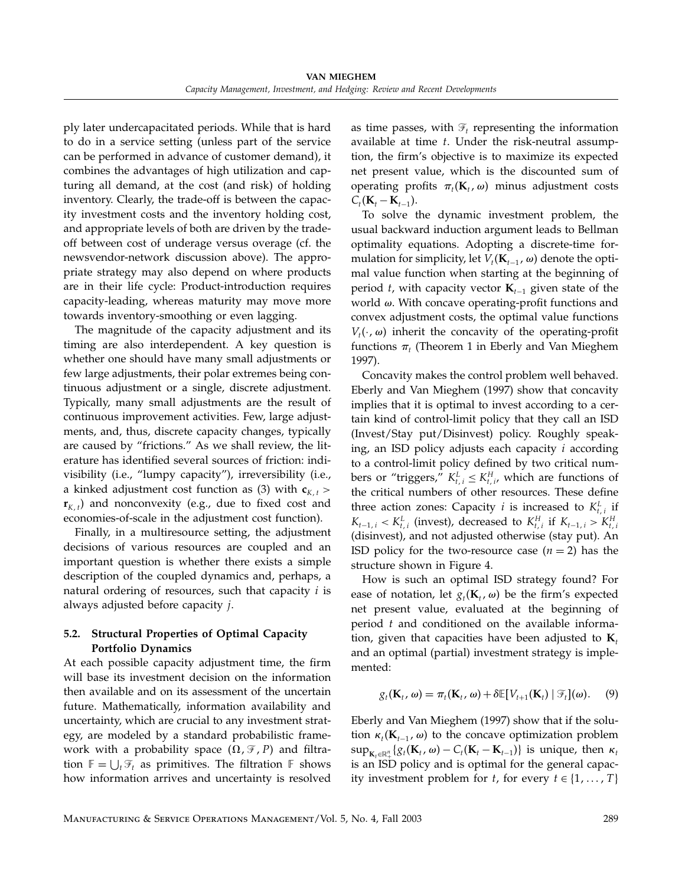ply later undercapacitated periods. While that is hard to do in a service setting (unless part of the service can be performed in advance of customer demand), it combines the advantages of high utilization and capturing all demand, at the cost (and risk) of holding inventory. Clearly, the trade-off is between the capacity investment costs and the inventory holding cost, and appropriate levels of both are driven by the tradeoff between cost of underage versus overage (cf. the newsvendor-network discussion above). The appropriate strategy may also depend on where products are in their life cycle: Product-introduction requires capacity-leading, whereas maturity may move more towards inventory-smoothing or even lagging.

The magnitude of the capacity adjustment and its timing are also interdependent. A key question is whether one should have many small adjustments or few large adjustments, their polar extremes being continuous adjustment or a single, discrete adjustment. Typically, many small adjustments are the result of continuous improvement activities. Few, large adjustments, and, thus, discrete capacity changes, typically are caused by "frictions." As we shall review, the literature has identified several sources of friction: indivisibility (i.e., "lumpy capacity"), irreversibility (i.e., a kinked adjustment cost function as (3) with  $c_{K, t}$  >  $r_{K, t}$ ) and nonconvexity (e.g., due to fixed cost and economies-of-scale in the adjustment cost function).

Finally, in a multiresource setting, the adjustment decisions of various resources are coupled and an important question is whether there exists a simple description of the coupled dynamics and, perhaps, a natural ordering of resources, such that capacity  $i$  is always adjusted before capacity j.

#### 5.2. Structural Properties of Optimal Capacity Portfolio Dynamics

At each possible capacity adjustment time, the firm will base its investment decision on the information then available and on its assessment of the uncertain future. Mathematically, information availability and uncertainty, which are crucial to any investment strategy, are modeled by a standard probabilistic framework with a probability space  $(\Omega, \mathscr{F}, P)$  and filtration  $\mathbb{F} = \bigcup_t \mathcal{F}_t$  as primitives. The filtration  $\mathbb{F}$  shows how information arrives and uncertainty is resolved

as time passes, with  $\mathcal{F}_t$  representing the information available at time  $t$ . Under the risk-neutral assumption, the firm's objective is to maximize its expected net present value, which is the discounted sum of operating profits  $\pi_t(\mathbf{K}_t, \omega)$  minus adjustment costs  $C_t(\mathbf{K}_t - \mathbf{K}_{t-1}).$ 

To solve the dynamic investment problem, the usual backward induction argument leads to Bellman optimality equations. Adopting a discrete-time formulation for simplicity, let  $V_t(\mathbf{K}_{t-1}, \omega)$  denote the optimal value function when starting at the beginning of period t, with capacity vector  $K_{t-1}$  given state of the world  $\omega$ . With concave operating-profit functions and convex adjustment costs, the optimal value functions  $V_t(\cdot, \omega)$  inherit the concavity of the operating-profit functions  $\pi_t$  (Theorem 1 in Eberly and Van Mieghem 1997).

Concavity makes the control problem well behaved. Eberly and Van Mieghem (1997) show that concavity implies that it is optimal to invest according to a certain kind of control-limit policy that they call an ISD (Invest/Stay put/Disinvest) policy. Roughly speaking, an ISD policy adjusts each capacity i according to a control-limit policy defined by two critical numbers or "triggers,"  $K_{t,i}^L \leq K_{t,i}^H$ , which are functions of the critical numbers of other resources. These define three action zones: Capacity *i* is increased to  $K_{t,i}^L$  if  $K_{t-1,i} < K_{t,i}^L$  (invest), decreased to  $K_{t,i}^H$  if  $K_{t-1,i} > K_{t,i}^H$ (disinvest), and not adjusted otherwise (stay put). An ISD policy for the two-resource case  $(n = 2)$  has the structure shown in Figure 4.

How is such an optimal ISD strategy found? For ease of notation, let  $g_t(\mathbf{K}_t, \omega)$  be the firm's expected net present value, evaluated at the beginning of period t and conditioned on the available information, given that capacities have been adjusted to  $K_t$ and an optimal (partial) investment strategy is implemented:

$$
g_t(\mathbf{K}_t, \omega) = \pi_t(\mathbf{K}_t, \omega) + \delta \mathbb{E}[V_{t+1}(\mathbf{K}_t) | \mathcal{F}_t](\omega). \quad (9)
$$

Eberly and Van Mieghem (1997) show that if the solution  $\kappa_t(\mathbf{K}_{t-1}, \omega)$  to the concave optimization problem  $\sup_{\mathbf{K}_t \in \mathbb{R}_+^n} \{g_t(\mathbf{K}_t, \omega) - C_t(\mathbf{K}_t - \mathbf{K}_{t-1})\}$  is unique, then  $\kappa_t$ is an ISD policy and is optimal for the general capacity investment problem for *t*, for every  $t \in \{1, ..., T\}$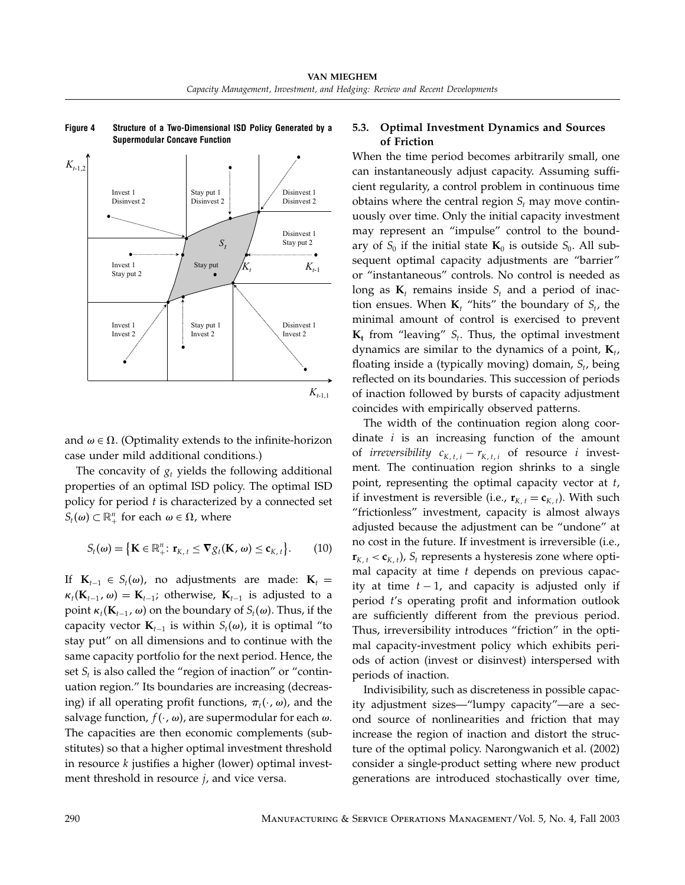

Figure 4 Structure of a Two-Dimensional ISD Policy Generated by a Supermodular Concave Function

and  $\omega \in \Omega$ . (Optimality extends to the infinite-horizon case under mild additional conditions.)

The concavity of  $g_t$  yields the following additional properties of an optimal ISD policy. The optimal ISD policy for period  $t$  is characterized by a connected set  $S_t(\omega) \subset \mathbb{R}^n_+$  for each  $\omega \in \Omega$ , where

$$
S_t(\omega) = \big\{ \mathbf{K} \in \mathbb{R}^n_+ : \mathbf{r}_{K,t} \le \nabla g_t(\mathbf{K}, \omega) \le \mathbf{c}_{K,t} \big\}.
$$
 (10)

If  $\mathbf{K}_{t-1} \in S_t(\omega)$ , no adjustments are made:  $\mathbf{K}_t =$  $\kappa_t(\mathbf{K}_{t-1}, \omega) = \mathbf{K}_{t-1}$ ; otherwise,  $\mathbf{K}_{t-1}$  is adjusted to a point  $\kappa_t(\mathbf{K}_{t-1}, \omega)$  on the boundary of  $S_t(\omega)$ . Thus, if the capacity vector  $\mathbf{K}_{t-1}$  is within  $S_t(\omega)$ , it is optimal "to stay put" on all dimensions and to continue with the same capacity portfolio for the next period. Hence, the set  $S_t$  is also called the "region of inaction" or "continuation region." Its boundaries are increasing (decreasing) if all operating profit functions,  $\pi_t(\cdot, \omega)$ , and the salvage function,  $f(\cdot, \omega)$ , are supermodular for each  $\omega$ . The capacities are then economic complements (substitutes) so that a higher optimal investment threshold in resource k justifies a higher (lower) optimal investment threshold in resource *j*, and vice versa.

#### 5.3. Optimal Investment Dynamics and Sources of Friction

When the time period becomes arbitrarily small, one can instantaneously adjust capacity. Assuming sufficient regularity, a control problem in continuous time obtains where the central region  $S_t$  may move continuously over time. Only the initial capacity investment may represent an "impulse" control to the boundary of  $S_0$  if the initial state  $\mathbf{K}_0$  is outside  $S_0$ . All subsequent optimal capacity adjustments are "barrier" or "instantaneous" controls. No control is needed as long as  $K_t$  remains inside  $S_t$  and a period of inaction ensues. When  $K_t$  "hits" the boundary of  $S_t$ , the minimal amount of control is exercised to prevent  $K_t$  from "leaving"  $S_t$ . Thus, the optimal investment dynamics are similar to the dynamics of a point,  $K_t$ , floating inside a (typically moving) domain,  $S_t$ , being reflected on its boundaries. This succession of periods of inaction followed by bursts of capacity adjustment coincides with empirically observed patterns.

The width of the continuation region along coordinate  $i$  is an increasing function of the amount of *irreversibility*  $c_{K, t, i} - r_{K, t, i}$  of resource *i* investment. The continuation region shrinks to a single point, representing the optimal capacity vector at t, if investment is reversible (i.e.,  $\mathbf{r}_{K,t} = \mathbf{c}_{K,t}$ ). With such "frictionless" investment, capacity is almost always adjusted because the adjustment can be "undone" at no cost in the future. If investment is irreversible (i.e.,  $r_{K, t} < c_{K, t}$ ,  $S_t$  represents a hysteresis zone where optimal capacity at time  $t$  depends on previous capacity at time  $t - 1$ , and capacity is adjusted only if period t's operating profit and information outlook are sufficiently different from the previous period. Thus, irreversibility introduces "friction" in the optimal capacity-investment policy which exhibits periods of action (invest or disinvest) interspersed with periods of inaction.

Indivisibility, such as discreteness in possible capacity adjustment sizes—"lumpy capacity"—are a second source of nonlinearities and friction that may increase the region of inaction and distort the structure of the optimal policy. Narongwanich et al. (2002) consider a single-product setting where new product generations are introduced stochastically over time,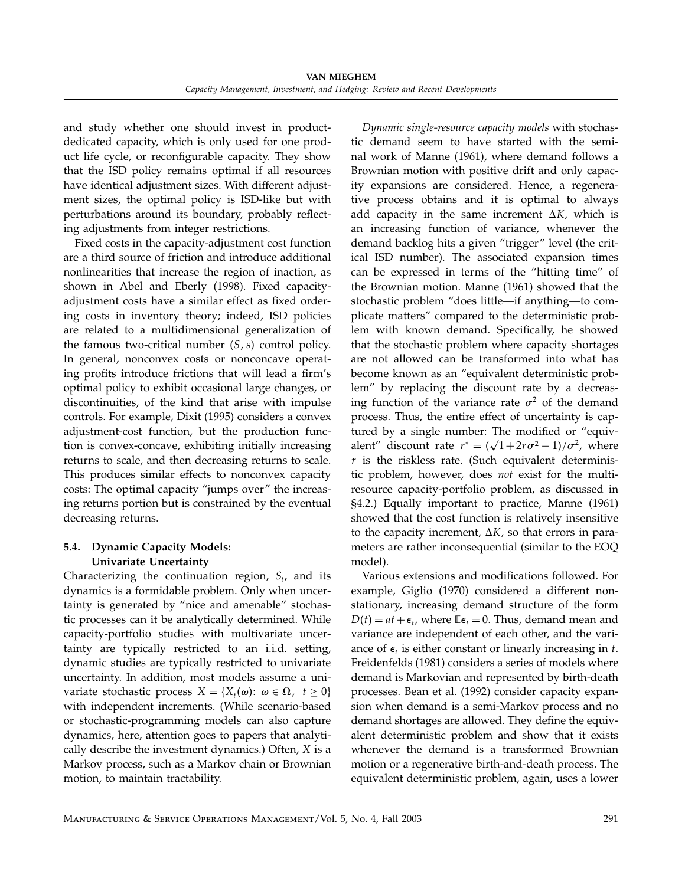and study whether one should invest in productdedicated capacity, which is only used for one product life cycle, or reconfigurable capacity. They show that the ISD policy remains optimal if all resources have identical adjustment sizes. With different adjustment sizes, the optimal policy is ISD-like but with perturbations around its boundary, probably reflecting adjustments from integer restrictions.

Fixed costs in the capacity-adjustment cost function are a third source of friction and introduce additional nonlinearities that increase the region of inaction, as shown in Abel and Eberly (1998). Fixed capacityadjustment costs have a similar effect as fixed ordering costs in inventory theory; indeed, ISD policies are related to a multidimensional generalization of the famous two-critical number  $(S, s)$  control policy. In general, nonconvex costs or nonconcave operating profits introduce frictions that will lead a firm's optimal policy to exhibit occasional large changes, or discontinuities, of the kind that arise with impulse controls. For example, Dixit (1995) considers a convex adjustment-cost function, but the production function is convex-concave, exhibiting initially increasing returns to scale, and then decreasing returns to scale. This produces similar effects to nonconvex capacity costs: The optimal capacity "jumps over" the increasing returns portion but is constrained by the eventual decreasing returns.

#### 5.4. Dynamic Capacity Models: Univariate Uncertainty

Characterizing the continuation region,  $S_t$ , and its dynamics is a formidable problem. Only when uncertainty is generated by "nice and amenable" stochastic processes can it be analytically determined. While capacity-portfolio studies with multivariate uncertainty are typically restricted to an i.i.d. setting, dynamic studies are typically restricted to univariate uncertainty. In addition, most models assume a univariate stochastic process  $X = \{X_t(\omega): \omega \in \Omega, t \geq 0\}$ with independent increments. (While scenario-based or stochastic-programming models can also capture dynamics, here, attention goes to papers that analytically describe the investment dynamics.) Often, X is a Markov process, such as a Markov chain or Brownian motion, to maintain tractability.

Dynamic single-resource capacity models with stochastic demand seem to have started with the seminal work of Manne (1961), where demand follows a Brownian motion with positive drift and only capacity expansions are considered. Hence, a regenerative process obtains and it is optimal to always add capacity in the same increment  $\Delta K$ , which is an increasing function of variance, whenever the demand backlog hits a given "trigger" level (the critical ISD number). The associated expansion times can be expressed in terms of the "hitting time" of the Brownian motion. Manne (1961) showed that the stochastic problem "does little—if anything—to complicate matters" compared to the deterministic problem with known demand. Specifically, he showed that the stochastic problem where capacity shortages are not allowed can be transformed into what has become known as an "equivalent deterministic problem" by replacing the discount rate by a decreasing function of the variance rate  $\sigma^2$  of the demand process. Thus, the entire effect of uncertainty is captured by a single number: The modified or "equivalent" discount rate  $r^* = (\sqrt{1+2r\sigma^2}-1)/\sigma^2$ , where  $r$  is the riskless rate. (Such equivalent deterministic problem, however, does not exist for the multiresource capacity-portfolio problem, as discussed in §4.2.) Equally important to practice, Manne (1961) showed that the cost function is relatively insensitive to the capacity increment,  $\Delta K$ , so that errors in parameters are rather inconsequential (similar to the EOQ model).

Various extensions and modifications followed. For example, Giglio (1970) considered a different nonstationary, increasing demand structure of the form  $D(t) = at + \epsilon_t$ , where  $E \epsilon_t = 0$ . Thus, demand mean and variance are independent of each other, and the variance of  $\epsilon_t$  is either constant or linearly increasing in t. Freidenfelds (1981) considers a series of models where demand is Markovian and represented by birth-death processes. Bean et al. (1992) consider capacity expansion when demand is a semi-Markov process and no demand shortages are allowed. They define the equivalent deterministic problem and show that it exists whenever the demand is a transformed Brownian motion or a regenerative birth-and-death process. The equivalent deterministic problem, again, uses a lower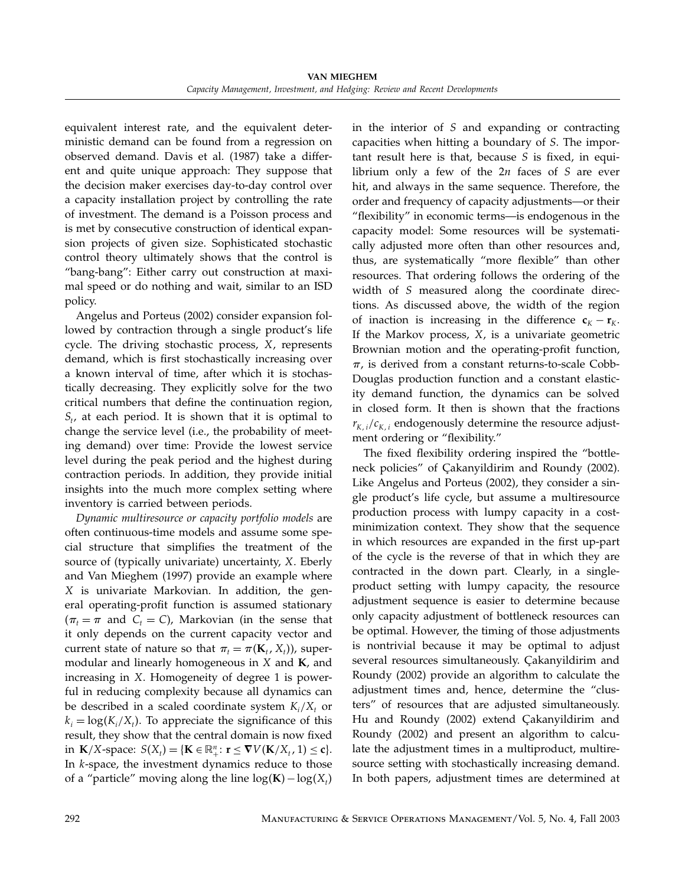equivalent interest rate, and the equivalent deterministic demand can be found from a regression on observed demand. Davis et al. (1987) take a different and quite unique approach: They suppose that the decision maker exercises day-to-day control over a capacity installation project by controlling the rate of investment. The demand is a Poisson process and is met by consecutive construction of identical expansion projects of given size. Sophisticated stochastic control theory ultimately shows that the control is "bang-bang": Either carry out construction at maximal speed or do nothing and wait, similar to an ISD policy.

Angelus and Porteus (2002) consider expansion followed by contraction through a single product's life cycle. The driving stochastic process, X, represents demand, which is first stochastically increasing over a known interval of time, after which it is stochastically decreasing. They explicitly solve for the two critical numbers that define the continuation region,  $S_t$ , at each period. It is shown that it is optimal to change the service level (i.e., the probability of meeting demand) over time: Provide the lowest service level during the peak period and the highest during contraction periods. In addition, they provide initial insights into the much more complex setting where inventory is carried between periods.

Dynamic multiresource or capacity portfolio models are often continuous-time models and assume some special structure that simplifies the treatment of the source of (typically univariate) uncertainty, X. Eberly and Van Mieghem (1997) provide an example where X is univariate Markovian. In addition, the general operating-profit function is assumed stationary  $(\pi_t = \pi$  and  $C_t = C)$ , Markovian (in the sense that it only depends on the current capacity vector and current state of nature so that  $\boldsymbol{\pi}_t = \boldsymbol{\pi}(\mathbf{K}_t, X_t)$ ), supermodular and linearly homogeneous in  $X$  and  $K$ , and increasing in X. Homogeneity of degree 1 is powerful in reducing complexity because all dynamics can be described in a scaled coordinate system  $K_i/X_t$  or  $k_i = \log(K_i/X_i)$ . To appreciate the significance of this result, they show that the central domain is now fixed in  $\mathbf{K}/X$ -space:  $S(X_t) = {\mathbf{K} \in \mathbb{R}^n_+ : \mathbf{r} \le \nabla V(\mathbf{K}/X_t, 1) \le \mathbf{c}}.$ In  $k$ -space, the investment dynamics reduce to those of a "particle" moving along the line  $log(K) - log(X_t)$ 

in the interior of S and expanding or contracting capacities when hitting a boundary of S. The important result here is that, because  $S$  is fixed, in equilibrium only a few of the  $2n$  faces of S are ever hit, and always in the same sequence. Therefore, the order and frequency of capacity adjustments—or their "flexibility" in economic terms—is endogenous in the capacity model: Some resources will be systematically adjusted more often than other resources and, thus, are systematically "more flexible" than other resources. That ordering follows the ordering of the width of S measured along the coordinate directions. As discussed above, the width of the region of inaction is increasing in the difference  $c_K - r_K$ . If the Markov process, X, is a univariate geometric Brownian motion and the operating-profit function,  $\pi$ , is derived from a constant returns-to-scale Cobb-Douglas production function and a constant elasticity demand function, the dynamics can be solved in closed form. It then is shown that the fractions  $r_{K,i}/c_{K,i}$  endogenously determine the resource adjustment ordering or "flexibility."

The fixed flexibility ordering inspired the "bottleneck policies" of Çakanyildirim and Roundy (2002). Like Angelus and Porteus (2002), they consider a single product's life cycle, but assume a multiresource production process with lumpy capacity in a costminimization context. They show that the sequence in which resources are expanded in the first up-part of the cycle is the reverse of that in which they are contracted in the down part. Clearly, in a singleproduct setting with lumpy capacity, the resource adjustment sequence is easier to determine because only capacity adjustment of bottleneck resources can be optimal. However, the timing of those adjustments is nontrivial because it may be optimal to adjust several resources simultaneously. Çakanyildirim and Roundy (2002) provide an algorithm to calculate the adjustment times and, hence, determine the "clusters" of resources that are adjusted simultaneously. Hu and Roundy (2002) extend Çakanyildirim and Roundy (2002) and present an algorithm to calculate the adjustment times in a multiproduct, multiresource setting with stochastically increasing demand. In both papers, adjustment times are determined at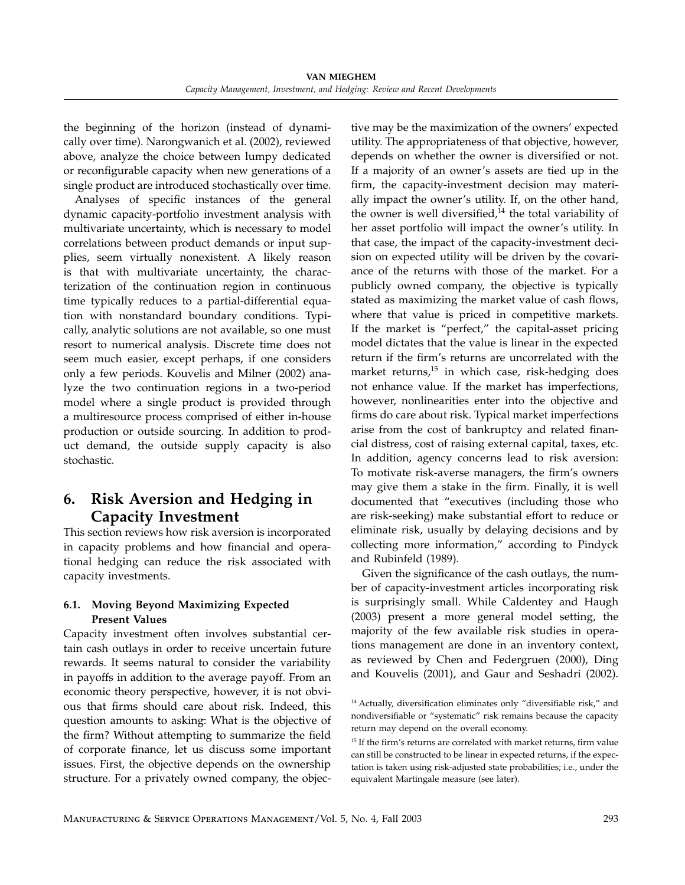the beginning of the horizon (instead of dynamically over time). Narongwanich et al. (2002), reviewed above, analyze the choice between lumpy dedicated or reconfigurable capacity when new generations of a single product are introduced stochastically over time.

Analyses of specific instances of the general dynamic capacity-portfolio investment analysis with multivariate uncertainty, which is necessary to model correlations between product demands or input supplies, seem virtually nonexistent. A likely reason is that with multivariate uncertainty, the characterization of the continuation region in continuous time typically reduces to a partial-differential equation with nonstandard boundary conditions. Typically, analytic solutions are not available, so one must resort to numerical analysis. Discrete time does not seem much easier, except perhaps, if one considers only a few periods. Kouvelis and Milner (2002) analyze the two continuation regions in a two-period model where a single product is provided through a multiresource process comprised of either in-house production or outside sourcing. In addition to product demand, the outside supply capacity is also stochastic.

## 6. Risk Aversion and Hedging in Capacity Investment

This section reviews how risk aversion is incorporated in capacity problems and how financial and operational hedging can reduce the risk associated with capacity investments.

#### 6.1. Moving Beyond Maximizing Expected Present Values

Capacity investment often involves substantial certain cash outlays in order to receive uncertain future rewards. It seems natural to consider the variability in payoffs in addition to the average payoff. From an economic theory perspective, however, it is not obvious that firms should care about risk. Indeed, this question amounts to asking: What is the objective of the firm? Without attempting to summarize the field of corporate finance, let us discuss some important issues. First, the objective depends on the ownership structure. For a privately owned company, the objec-

tive may be the maximization of the owners' expected utility. The appropriateness of that objective, however, depends on whether the owner is diversified or not. If a majority of an owner's assets are tied up in the firm, the capacity-investment decision may materially impact the owner's utility. If, on the other hand, the owner is well diversified, $14$  the total variability of her asset portfolio will impact the owner's utility. In that case, the impact of the capacity-investment decision on expected utility will be driven by the covariance of the returns with those of the market. For a publicly owned company, the objective is typically stated as maximizing the market value of cash flows, where that value is priced in competitive markets. If the market is "perfect," the capital-asset pricing model dictates that the value is linear in the expected return if the firm's returns are uncorrelated with the market returns, $15$  in which case, risk-hedging does not enhance value. If the market has imperfections, however, nonlinearities enter into the objective and firms do care about risk. Typical market imperfections arise from the cost of bankruptcy and related financial distress, cost of raising external capital, taxes, etc. In addition, agency concerns lead to risk aversion: To motivate risk-averse managers, the firm's owners may give them a stake in the firm. Finally, it is well documented that "executives (including those who are risk-seeking) make substantial effort to reduce or eliminate risk, usually by delaying decisions and by collecting more information," according to Pindyck and Rubinfeld (1989).

Given the significance of the cash outlays, the number of capacity-investment articles incorporating risk is surprisingly small. While Caldentey and Haugh (2003) present a more general model setting, the majority of the few available risk studies in operations management are done in an inventory context, as reviewed by Chen and Federgruen (2000), Ding and Kouvelis (2001), and Gaur and Seshadri (2002).

<sup>&</sup>lt;sup>14</sup> Actually, diversification eliminates only "diversifiable risk," and nondiversifiable or "systematic" risk remains because the capacity return may depend on the overall economy.

 $^{15}$  If the firm's returns are correlated with market returns, firm value can still be constructed to be linear in expected returns, if the expectation is taken using risk-adjusted state probabilities; i.e., under the equivalent Martingale measure (see later).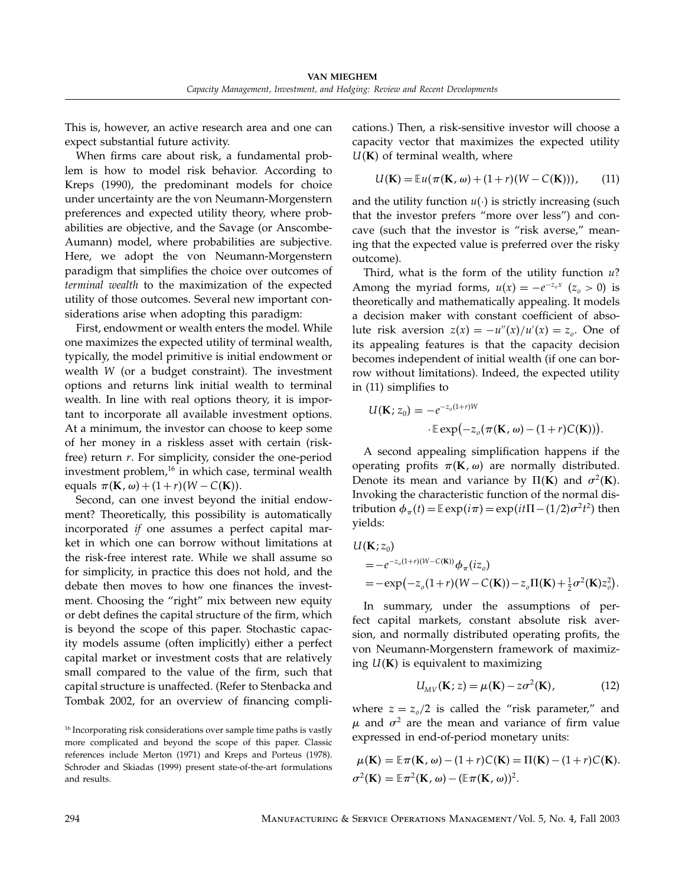This is, however, an active research area and one can expect substantial future activity.

When firms care about risk, a fundamental problem is how to model risk behavior. According to Kreps (1990), the predominant models for choice under uncertainty are the von Neumann-Morgenstern preferences and expected utility theory, where probabilities are objective, and the Savage (or Anscombe-Aumann) model, where probabilities are subjective. Here, we adopt the von Neumann-Morgenstern paradigm that simplifies the choice over outcomes of terminal wealth to the maximization of the expected utility of those outcomes. Several new important considerations arise when adopting this paradigm:

First, endowment or wealth enters the model. While one maximizes the expected utility of terminal wealth, typically, the model primitive is initial endowment or wealth W (or a budget constraint). The investment options and returns link initial wealth to terminal wealth. In line with real options theory, it is important to incorporate all available investment options. At a minimum, the investor can choose to keep some of her money in a riskless asset with certain (riskfree) return  $r$ . For simplicity, consider the one-period investment problem,<sup>16</sup> in which case, terminal wealth equals  $\pi(\mathbf{K}, \omega) + (1+r)(W - C(\mathbf{K})).$ 

Second, can one invest beyond the initial endowment? Theoretically, this possibility is automatically incorporated if one assumes a perfect capital market in which one can borrow without limitations at the risk-free interest rate. While we shall assume so for simplicity, in practice this does not hold, and the debate then moves to how one finances the investment. Choosing the "right" mix between new equity or debt defines the capital structure of the firm, which is beyond the scope of this paper. Stochastic capacity models assume (often implicitly) either a perfect capital market or investment costs that are relatively small compared to the value of the firm, such that capital structure is unaffected. (Refer to Stenbacka and Tombak 2002, for an overview of financing complications.) Then, a risk-sensitive investor will choose a capacity vector that maximizes the expected utility  $U(K)$  of terminal wealth, where

$$
U(\mathbf{K}) = \mathbb{E}u(\pi(\mathbf{K}, \omega) + (1+r)(W - C(\mathbf{K}))), \qquad (11)
$$

and the utility function  $u(\cdot)$  is strictly increasing (such that the investor prefers "more over less") and concave (such that the investor is "risk averse," meaning that the expected value is preferred over the risky outcome).

Third, what is the form of the utility function  $u$ ? Among the myriad forms,  $u(x) = -e^{-z_0x}$  ( $z_0 > 0$ ) is theoretically and mathematically appealing. It models a decision maker with constant coefficient of absolute risk aversion  $z(x) = -u''(x)/u'(x) = z_o$ . One of its appealing features is that the capacity decision becomes independent of initial wealth (if one can borrow without limitations). Indeed, the expected utility in (11) simplifies to

$$
U(\mathbf{K}; z_0) = -e^{-z_0(1+r)W}
$$

$$
\cdot \mathbb{E} \exp(-z_0(\pi(\mathbf{K}, \omega) - (1+r)C(\mathbf{K}))).
$$

A second appealing simplification happens if the operating profits  $\pi(\mathbf K, \omega)$  are normally distributed. Denote its mean and variance by  $\Pi(K)$  and  $\sigma^2(K)$ . Invoking the characteristic function of the normal distribution  $\phi_{\pi}(t) = \mathbb{E} \exp(i\pi) = \exp(it\Pi - (1/2)\sigma^2 t^2)$  then yields:

$$
U(\mathbf{K}; z_0)
$$
  
=  $-e^{-z_0(1+r)(W-C(\mathbf{K}))}\phi_\pi(iz_0)$   
=  $-\exp(-z_0(1+r)(W-C(\mathbf{K})) - z_0\Pi(\mathbf{K}) + \frac{1}{2}\sigma^2(\mathbf{K})z_0^2).$ 

In summary, under the assumptions of perfect capital markets, constant absolute risk aversion, and normally distributed operating profits, the von Neumann-Morgenstern framework of maximizing  $U({\mathbf K})$  is equivalent to maximizing

$$
U_{MV}(\mathbf{K}; z) = \mu(\mathbf{K}) - z\sigma^2(\mathbf{K}), \qquad (12)
$$

where  $z = z_0/2$  is called the "risk parameter," and  $\mu$  and  $\sigma^2$  are the mean and variance of firm value expressed in end-of-period monetary units:

$$
\mu(\mathbf{K}) = \mathbb{E}\pi(\mathbf{K}, \omega) - (1+r)C(\mathbf{K}) = \Pi(\mathbf{K}) - (1+r)C(\mathbf{K}).
$$
  

$$
\sigma^2(\mathbf{K}) = \mathbb{E}\pi^2(\mathbf{K}, \omega) - (\mathbb{E}\pi(\mathbf{K}, \omega))^2.
$$

<sup>&</sup>lt;sup>16</sup> Incorporating risk considerations over sample time paths is vastly more complicated and beyond the scope of this paper. Classic references include Merton (1971) and Kreps and Porteus (1978). Schroder and Skiadas (1999) present state-of-the-art formulations and results.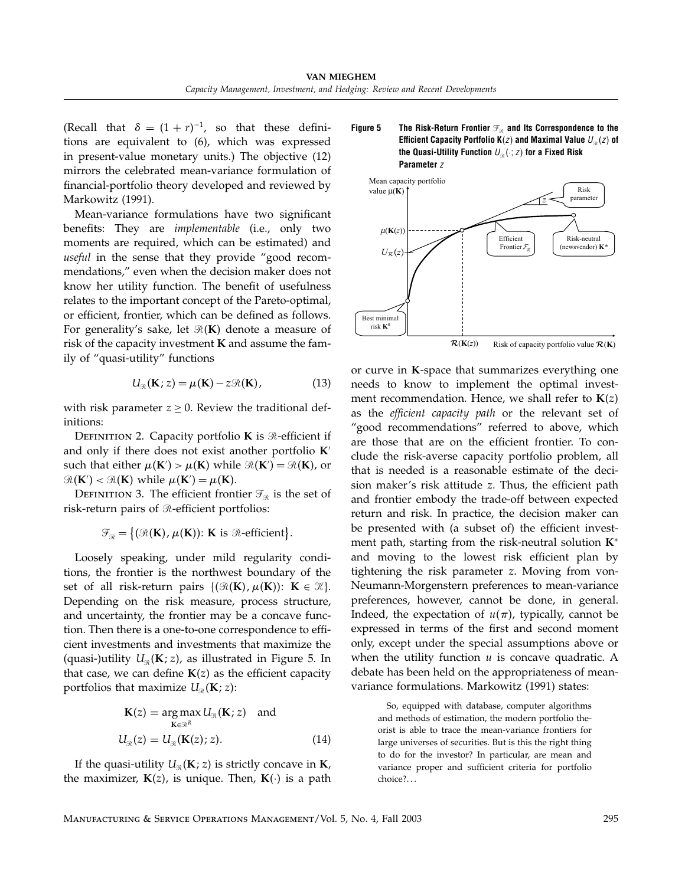(Recall that  $\delta = (1 + r)^{-1}$ , so that these definitions are equivalent to (6), which was expressed in present-value monetary units.) The objective (12) mirrors the celebrated mean-variance formulation of financial-portfolio theory developed and reviewed by Markowitz (1991).

Mean-variance formulations have two significant benefits: They are implementable (i.e., only two moments are required, which can be estimated) and useful in the sense that they provide "good recommendations," even when the decision maker does not know her utility function. The benefit of usefulness relates to the important concept of the Pareto-optimal, or efficient, frontier, which can be defined as follows. For generality's sake, let  $\mathscr{R}(\mathbf{K})$  denote a measure of risk of the capacity investment  $K$  and assume the family of "quasi-utility" functions

$$
U_{\mathcal{R}}(\mathbf{K}; z) = \mu(\mathbf{K}) - z \mathcal{R}(\mathbf{K}), \tag{13}
$$

with risk parameter  $z \geq 0$ . Review the traditional definitions:

DEFINITION 2. Capacity portfolio K is  $\Re$ -efficient if and only if there does not exist another portfolio K such that either  $\mu(\mathbf{K}') > \mu(\mathbf{K})$  while  $\mathcal{R}(\mathbf{K}') = \mathcal{R}(\mathbf{K})$ , or  $\mathcal{R}(\mathbf{K}') < \mathcal{R}(\mathbf{K})$  while  $\mu(\mathbf{K}') = \mu(\mathbf{K})$ .

DEFINITION 3. The efficient frontier  $\mathcal{F}_{\mathcal{R}}$  is the set of risk-return pairs of  $\Re$ -efficient portfolios:

$$
\mathcal{F}_{\mathcal{R}} = \{ (\mathcal{R}(\mathbf{K}), \mu(\mathbf{K})) : \mathbf{K} \text{ is } \mathcal{R}\text{-efficient} \}.
$$

Loosely speaking, under mild regularity conditions, the frontier is the northwest boundary of the set of all risk-return pairs  $\{(\mathcal{R}(K), \mu(K))\colon K \in \mathcal{K}\}.$ Depending on the risk measure, process structure, and uncertainty, the frontier may be a concave function. Then there is a one-to-one correspondence to efficient investments and investments that maximize the (quasi-)utility  $U_{\mathcal{R}}(\mathbf{K};z)$ , as illustrated in Figure 5. In that case, we can define  $\mathbf{K}(z)$  as the efficient capacity portfolios that maximize  $U_{\mathcal{R}}(\mathbf{K};z)$ :

$$
\mathbf{K}(z) = \underset{\mathbf{K}\in\mathcal{R}^{R}}{\arg\max} U_{\mathcal{R}}(\mathbf{K}; z) \text{ and}
$$

$$
U_{\mathcal{R}}(z) = U_{\mathcal{R}}(\mathbf{K}(z); z).
$$
(14)

If the quasi-utility  $U_{\!\scriptscriptstyle (\!\% \!)}({\mathbf{K}};z)$  is strictly concave in  ${\mathbf{K}}$ , the maximizer,  $\mathbf{K}(z)$ , is unique. Then,  $\mathbf{K}(\cdot)$  is a path

#### Figure 5 The Risk-Return Frontier  $\mathcal{F}_{\alpha}$  and Its Correspondence to the Efficient Capacity Portfolio K(z) and Maximal Value  $U_{\mathcal{R}}(z)$  of the Quasi-Utility Function  $U_{\mathcal{R}}(\cdot; z)$  for a Fixed Risk Parameter z



Risk of capacity portfolio value R(**K**)  $\mathcal{R}(\mathbf{K}(z))$ 

or curve in K-space that summarizes everything one needs to know to implement the optimal investment recommendation. Hence, we shall refer to  ${\bf K}(z)$ as the *efficient capacity path* or the relevant set of "good recommendations" referred to above, which are those that are on the efficient frontier. To conclude the risk-averse capacity portfolio problem, all that is needed is a reasonable estimate of the decision maker's risk attitude z. Thus, the efficient path and frontier embody the trade-off between expected return and risk. In practice, the decision maker can be presented with (a subset of) the efficient investment path, starting from the risk-neutral solution K<sup>∗</sup> and moving to the lowest risk efficient plan by tightening the risk parameter z. Moving from von-Neumann-Morgenstern preferences to mean-variance preferences, however, cannot be done, in general. Indeed, the expectation of  $u(\pi)$ , typically, cannot be expressed in terms of the first and second moment only, except under the special assumptions above or when the utility function  $u$  is concave quadratic. A debate has been held on the appropriateness of meanvariance formulations. Markowitz (1991) states:

So, equipped with database, computer algorithms and methods of estimation, the modern portfolio theorist is able to trace the mean-variance frontiers for large universes of securities. But is this the right thing to do for the investor? In particular, are mean and variance proper and sufficient criteria for portfolio choice?...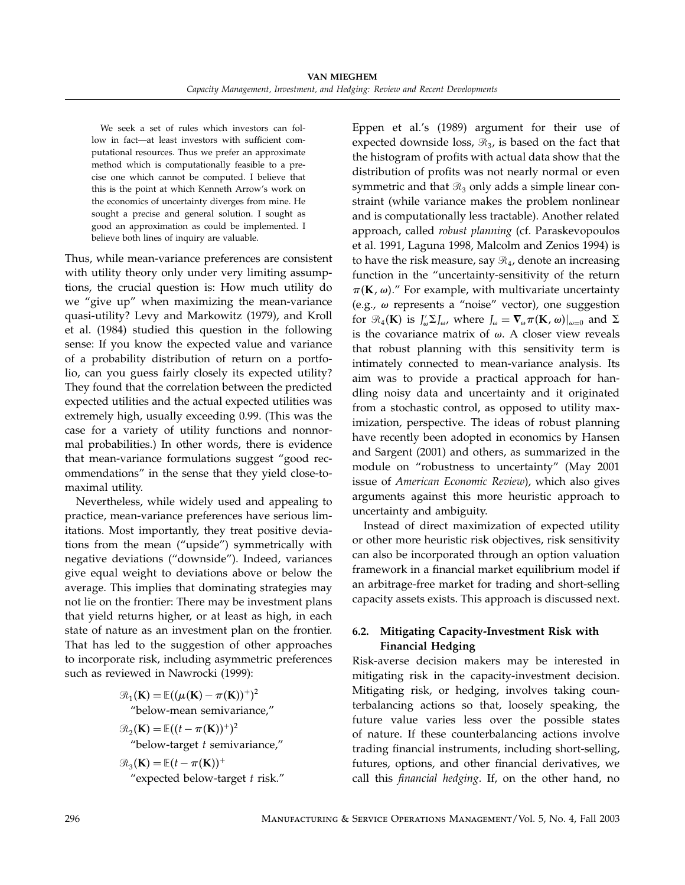We seek a set of rules which investors can follow in fact—at least investors with sufficient computational resources. Thus we prefer an approximate method which is computationally feasible to a precise one which cannot be computed. I believe that this is the point at which Kenneth Arrow's work on the economics of uncertainty diverges from mine. He sought a precise and general solution. I sought as good an approximation as could be implemented. I believe both lines of inquiry are valuable.

Thus, while mean-variance preferences are consistent with utility theory only under very limiting assumptions, the crucial question is: How much utility do we "give up" when maximizing the mean-variance quasi-utility? Levy and Markowitz (1979), and Kroll et al. (1984) studied this question in the following sense: If you know the expected value and variance of a probability distribution of return on a portfolio, can you guess fairly closely its expected utility? They found that the correlation between the predicted expected utilities and the actual expected utilities was extremely high, usually exceeding 0.99. (This was the case for a variety of utility functions and nonnormal probabilities.) In other words, there is evidence that mean-variance formulations suggest "good recommendations" in the sense that they yield close-tomaximal utility.

Nevertheless, while widely used and appealing to practice, mean-variance preferences have serious limitations. Most importantly, they treat positive deviations from the mean ("upside") symmetrically with negative deviations ("downside"). Indeed, variances give equal weight to deviations above or below the average. This implies that dominating strategies may not lie on the frontier: There may be investment plans that yield returns higher, or at least as high, in each state of nature as an investment plan on the frontier. That has led to the suggestion of other approaches to incorporate risk, including asymmetric preferences such as reviewed in Nawrocki (1999):

> $\mathcal{R}_1(\mathbf{K}) = \mathbb{E}((\mu(\mathbf{K}) - \pi(\mathbf{K}))^*)^2$ "below-mean semivariance,"  $\mathcal{R}_2(\mathbf{K}) = \mathbb{E}((t - \pi(\mathbf{K}))^+)^2$ "below-target  $t$  semivariance,"  $\mathcal{R}_3(\mathbf{K}) = \mathbb{E}(t - \pi(\mathbf{K}))^+$

"expected below-target t risk."

Eppen et al.'s (1989) argument for their use of expected downside loss,  $\mathcal{R}_3$ , is based on the fact that the histogram of profits with actual data show that the distribution of profits was not nearly normal or even symmetric and that  $\mathcal{R}_3$  only adds a simple linear constraint (while variance makes the problem nonlinear and is computationally less tractable). Another related approach, called robust planning (cf. Paraskevopoulos et al. 1991, Laguna 1998, Malcolm and Zenios 1994) is to have the risk measure, say  $\mathcal{R}_4$ , denote an increasing function in the "uncertainty-sensitivity of the return  $\pi(K, \omega)$ ." For example, with multivariate uncertainty (e.g.,  $\omega$  represents a "noise" vector), one suggestion for  $\mathcal{R}_4(\mathbf{K})$  is  $J'_{\omega} \Sigma J_{\omega}$ , where  $J_{\omega} = \nabla_{\omega} \pi(\mathbf{K}, \omega)|_{\omega=0}$  and  $\Sigma$ is the covariance matrix of  $\omega$ . A closer view reveals that robust planning with this sensitivity term is intimately connected to mean-variance analysis. Its aim was to provide a practical approach for handling noisy data and uncertainty and it originated from a stochastic control, as opposed to utility maximization, perspective. The ideas of robust planning have recently been adopted in economics by Hansen and Sargent (2001) and others, as summarized in the module on "robustness to uncertainty" (May 2001 issue of American Economic Review), which also gives arguments against this more heuristic approach to uncertainty and ambiguity.

Instead of direct maximization of expected utility or other more heuristic risk objectives, risk sensitivity can also be incorporated through an option valuation framework in a financial market equilibrium model if an arbitrage-free market for trading and short-selling capacity assets exists. This approach is discussed next.

#### 6.2. Mitigating Capacity-Investment Risk with Financial Hedging

Risk-averse decision makers may be interested in mitigating risk in the capacity-investment decision. Mitigating risk, or hedging, involves taking counterbalancing actions so that, loosely speaking, the future value varies less over the possible states of nature. If these counterbalancing actions involve trading financial instruments, including short-selling, futures, options, and other financial derivatives, we call this financial hedging. If, on the other hand, no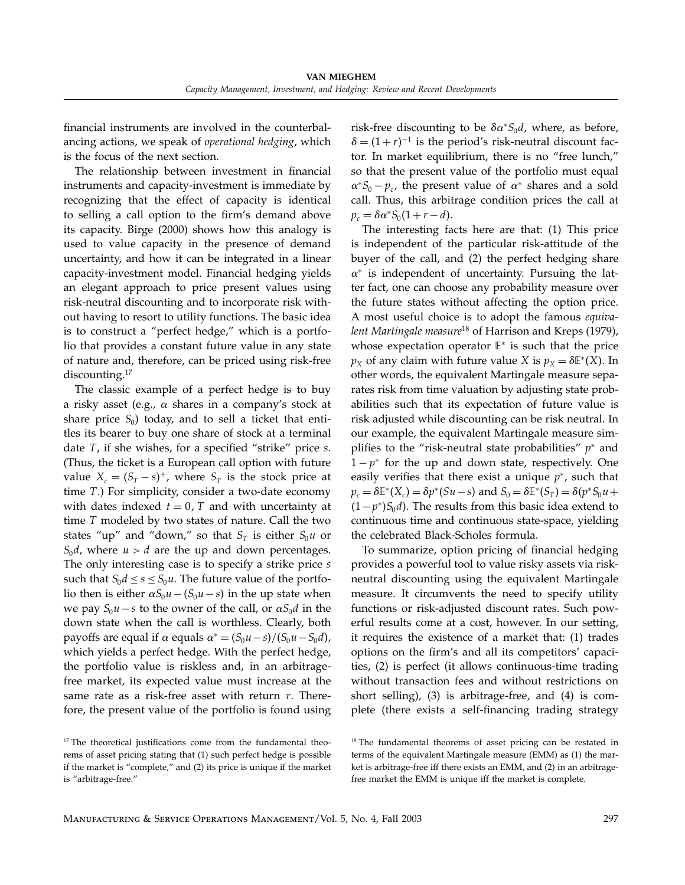financial instruments are involved in the counterbalancing actions, we speak of operational hedging, which is the focus of the next section.

The relationship between investment in financial instruments and capacity-investment is immediate by recognizing that the effect of capacity is identical to selling a call option to the firm's demand above its capacity. Birge (2000) shows how this analogy is used to value capacity in the presence of demand uncertainty, and how it can be integrated in a linear capacity-investment model. Financial hedging yields an elegant approach to price present values using risk-neutral discounting and to incorporate risk without having to resort to utility functions. The basic idea is to construct a "perfect hedge," which is a portfolio that provides a constant future value in any state of nature and, therefore, can be priced using risk-free discounting.<sup>17</sup>

The classic example of a perfect hedge is to buy a risky asset (e.g.,  $\alpha$  shares in a company's stock at share price  $S_0$ ) today, and to sell a ticket that entitles its bearer to buy one share of stock at a terminal date  $T$ , if she wishes, for a specified "strike" price  $s$ . (Thus, the ticket is a European call option with future value  $X_c = (S_T - s)^+$ , where  $S_T$  is the stock price at time  $T$ .) For simplicity, consider a two-date economy with dates indexed  $t = 0$ , T and with uncertainty at time T modeled by two states of nature. Call the two states "up" and "down," so that  $S_T$  is either  $S_0u$  or  $S_0$ *d*, where  $u > d$  are the up and down percentages. The only interesting case is to specify a strike price s such that  $S_0d \leq s \leq S_0u$ . The future value of the portfolio then is either  $\alpha S_0u - (S_0u - s)$  in the up state when we pay  $S_0u-s$  to the owner of the call, or  $\alpha S_0d$  in the down state when the call is worthless. Clearly, both payoffs are equal if  $\alpha$  equals  $\alpha^* = (S_0u - s)/(S_0u - S_0d)$ , which yields a perfect hedge. With the perfect hedge, the portfolio value is riskless and, in an arbitragefree market, its expected value must increase at the same rate as a risk-free asset with return  $r$ . Therefore, the present value of the portfolio is found using risk-free discounting to be  $\delta \alpha^* S_0 d$ , where, as before,  $\delta = (1+r)^{-1}$  is the period's risk-neutral discount factor. In market equilibrium, there is no "free lunch," so that the present value of the portfolio must equal  $\alpha^*S_0 - p_c$ , the present value of  $\alpha^*$  shares and a sold call. Thus, this arbitrage condition prices the call at  $p_c = \delta \alpha^* S_0 (1 + r - d).$ 

The interesting facts here are that: (1) This price is independent of the particular risk-attitude of the buyer of the call, and (2) the perfect hedging share  $\alpha^*$  is independent of uncertainty. Pursuing the latter fact, one can choose any probability measure over the future states without affecting the option price. A most useful choice is to adopt the famous equivalent Martingale measure<sup>18</sup> of Harrison and Kreps (1979), whose expectation operator  $E^*$  is such that the price  $p_X$  of any claim with future value X is  $p_X = \delta \mathbb{E}^*(X)$ . In other words, the equivalent Martingale measure separates risk from time valuation by adjusting state probabilities such that its expectation of future value is risk adjusted while discounting can be risk neutral. In our example, the equivalent Martingale measure simplifies to the "risk-neutral state probabilities"  $p^*$  and  $1 - p^*$  for the up and down state, respectively. One easily verifies that there exist a unique  $p^*$ , such that  $p_c = \delta \mathbb{E}^*(X_c) = \delta p^*(Su - s)$  and  $S_0 = \delta \mathbb{E}^*(S_T) = \delta (p^* S_0 u +$  $(1-p<sup>*</sup>)S<sub>0</sub>d$ ). The results from this basic idea extend to continuous time and continuous state-space, yielding the celebrated Black-Scholes formula.

To summarize, option pricing of financial hedging provides a powerful tool to value risky assets via riskneutral discounting using the equivalent Martingale measure. It circumvents the need to specify utility functions or risk-adjusted discount rates. Such powerful results come at a cost, however. In our setting, it requires the existence of a market that: (1) trades options on the firm's and all its competitors' capacities, (2) is perfect (it allows continuous-time trading without transaction fees and without restrictions on short selling), (3) is arbitrage-free, and (4) is complete (there exists a self-financing trading strategy

<sup>&</sup>lt;sup>17</sup> The theoretical justifications come from the fundamental theorems of asset pricing stating that (1) such perfect hedge is possible if the market is "complete," and (2) its price is unique if the market is "arbitrage-free."

<sup>&</sup>lt;sup>18</sup> The fundamental theorems of asset pricing can be restated in terms of the equivalent Martingale measure (EMM) as (1) the market is arbitrage-free iff there exists an EMM, and (2) in an arbitragefree market the EMM is unique iff the market is complete.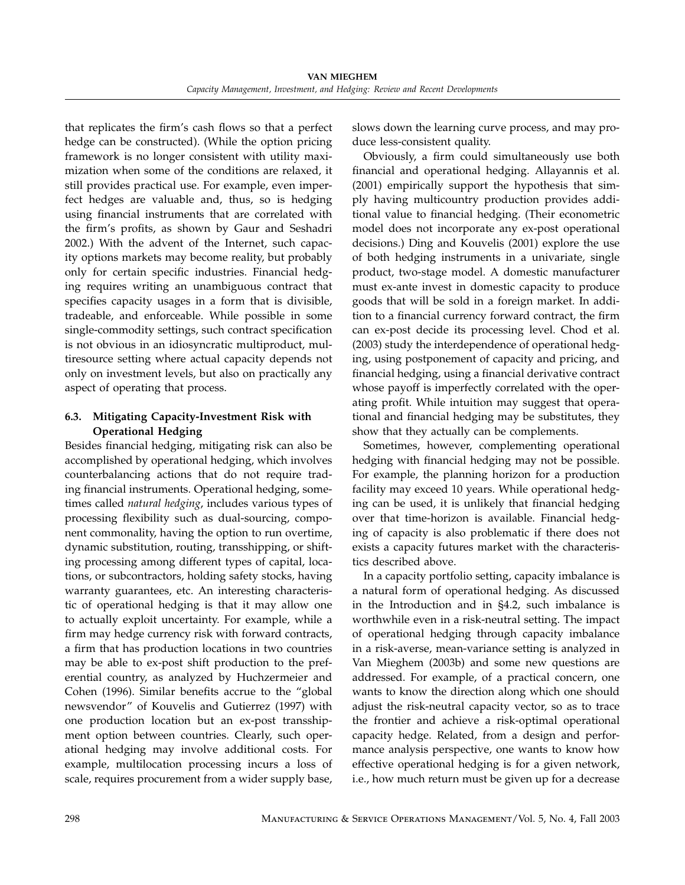that replicates the firm's cash flows so that a perfect hedge can be constructed). (While the option pricing framework is no longer consistent with utility maximization when some of the conditions are relaxed, it still provides practical use. For example, even imperfect hedges are valuable and, thus, so is hedging using financial instruments that are correlated with the firm's profits, as shown by Gaur and Seshadri 2002.) With the advent of the Internet, such capacity options markets may become reality, but probably only for certain specific industries. Financial hedging requires writing an unambiguous contract that specifies capacity usages in a form that is divisible, tradeable, and enforceable. While possible in some single-commodity settings, such contract specification is not obvious in an idiosyncratic multiproduct, multiresource setting where actual capacity depends not only on investment levels, but also on practically any aspect of operating that process.

#### 6.3. Mitigating Capacity-Investment Risk with Operational Hedging

Besides financial hedging, mitigating risk can also be accomplished by operational hedging, which involves counterbalancing actions that do not require trading financial instruments. Operational hedging, sometimes called natural hedging, includes various types of processing flexibility such as dual-sourcing, component commonality, having the option to run overtime, dynamic substitution, routing, transshipping, or shifting processing among different types of capital, locations, or subcontractors, holding safety stocks, having warranty guarantees, etc. An interesting characteristic of operational hedging is that it may allow one to actually exploit uncertainty. For example, while a firm may hedge currency risk with forward contracts, a firm that has production locations in two countries may be able to ex-post shift production to the preferential country, as analyzed by Huchzermeier and Cohen (1996). Similar benefits accrue to the "global newsvendor" of Kouvelis and Gutierrez (1997) with one production location but an ex-post transshipment option between countries. Clearly, such operational hedging may involve additional costs. For example, multilocation processing incurs a loss of scale, requires procurement from a wider supply base,

slows down the learning curve process, and may produce less-consistent quality.

Obviously, a firm could simultaneously use both financial and operational hedging. Allayannis et al. (2001) empirically support the hypothesis that simply having multicountry production provides additional value to financial hedging. (Their econometric model does not incorporate any ex-post operational decisions.) Ding and Kouvelis (2001) explore the use of both hedging instruments in a univariate, single product, two-stage model. A domestic manufacturer must ex-ante invest in domestic capacity to produce goods that will be sold in a foreign market. In addition to a financial currency forward contract, the firm can ex-post decide its processing level. Chod et al. (2003) study the interdependence of operational hedging, using postponement of capacity and pricing, and financial hedging, using a financial derivative contract whose payoff is imperfectly correlated with the operating profit. While intuition may suggest that operational and financial hedging may be substitutes, they show that they actually can be complements.

Sometimes, however, complementing operational hedging with financial hedging may not be possible. For example, the planning horizon for a production facility may exceed 10 years. While operational hedging can be used, it is unlikely that financial hedging over that time-horizon is available. Financial hedging of capacity is also problematic if there does not exists a capacity futures market with the characteristics described above.

In a capacity portfolio setting, capacity imbalance is a natural form of operational hedging. As discussed in the Introduction and in §4.2, such imbalance is worthwhile even in a risk-neutral setting. The impact of operational hedging through capacity imbalance in a risk-averse, mean-variance setting is analyzed in Van Mieghem (2003b) and some new questions are addressed. For example, of a practical concern, one wants to know the direction along which one should adjust the risk-neutral capacity vector, so as to trace the frontier and achieve a risk-optimal operational capacity hedge. Related, from a design and performance analysis perspective, one wants to know how effective operational hedging is for a given network, i.e., how much return must be given up for a decrease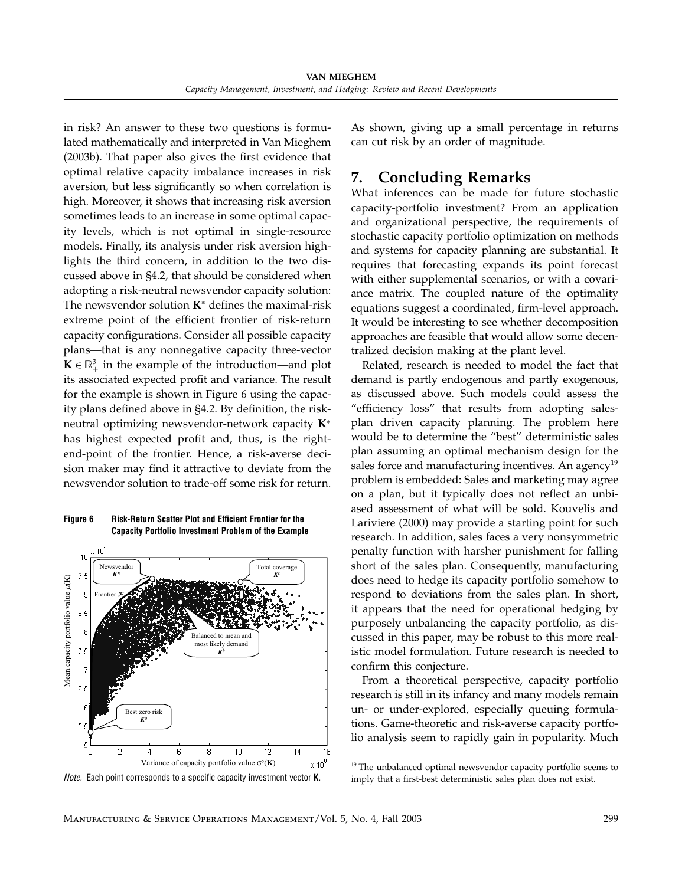in risk? An answer to these two questions is formulated mathematically and interpreted in Van Mieghem (2003b). That paper also gives the first evidence that optimal relative capacity imbalance increases in risk aversion, but less significantly so when correlation is high. Moreover, it shows that increasing risk aversion sometimes leads to an increase in some optimal capacity levels, which is not optimal in single-resource models. Finally, its analysis under risk aversion highlights the third concern, in addition to the two discussed above in §4.2, that should be considered when adopting a risk-neutral newsvendor capacity solution: The newsvendor solution  $K^*$  defines the maximal-risk extreme point of the efficient frontier of risk-return capacity configurations. Consider all possible capacity plans—that is any nonnegative capacity three-vector  $\mathbf{K} \in \mathbb{R}_+^3$  in the example of the introduction—and plot its associated expected profit and variance. The result for the example is shown in Figure 6 using the capacity plans defined above in §4.2. By definition, the riskneutral optimizing newsvendor-network capacity K<sup>∗</sup> has highest expected profit and, thus, is the rightend-point of the frontier. Hence, a risk-averse decision maker may find it attractive to deviate from the newsvendor solution to trade-off some risk for return.





Note. Each point corresponds to a specific capacity investment vector **K**.

As shown, giving up a small percentage in returns can cut risk by an order of magnitude.

## 7. Concluding Remarks

What inferences can be made for future stochastic capacity-portfolio investment? From an application and organizational perspective, the requirements of stochastic capacity portfolio optimization on methods and systems for capacity planning are substantial. It requires that forecasting expands its point forecast with either supplemental scenarios, or with a covariance matrix. The coupled nature of the optimality equations suggest a coordinated, firm-level approach. It would be interesting to see whether decomposition approaches are feasible that would allow some decentralized decision making at the plant level.

Related, research is needed to model the fact that demand is partly endogenous and partly exogenous, as discussed above. Such models could assess the "efficiency loss" that results from adopting salesplan driven capacity planning. The problem here would be to determine the "best" deterministic sales plan assuming an optimal mechanism design for the sales force and manufacturing incentives. An agency<sup>19</sup> problem is embedded: Sales and marketing may agree on a plan, but it typically does not reflect an unbiased assessment of what will be sold. Kouvelis and Lariviere (2000) may provide a starting point for such research. In addition, sales faces a very nonsymmetric penalty function with harsher punishment for falling short of the sales plan. Consequently, manufacturing does need to hedge its capacity portfolio somehow to respond to deviations from the sales plan. In short, it appears that the need for operational hedging by purposely unbalancing the capacity portfolio, as discussed in this paper, may be robust to this more realistic model formulation. Future research is needed to confirm this conjecture.

From a theoretical perspective, capacity portfolio research is still in its infancy and many models remain un- or under-explored, especially queuing formulations. Game-theoretic and risk-averse capacity portfolio analysis seem to rapidly gain in popularity. Much

 $19$  The unbalanced optimal newsvendor capacity portfolio seems to imply that a first-best deterministic sales plan does not exist.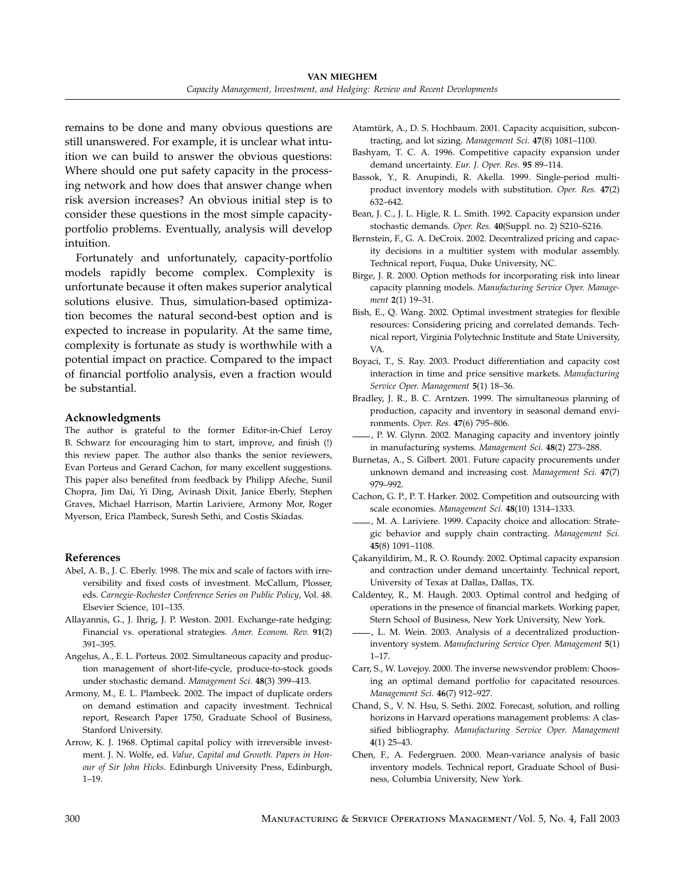remains to be done and many obvious questions are still unanswered. For example, it is unclear what intuition we can build to answer the obvious questions: Where should one put safety capacity in the processing network and how does that answer change when risk aversion increases? An obvious initial step is to consider these questions in the most simple capacityportfolio problems. Eventually, analysis will develop intuition.

Fortunately and unfortunately, capacity-portfolio models rapidly become complex. Complexity is unfortunate because it often makes superior analytical solutions elusive. Thus, simulation-based optimization becomes the natural second-best option and is expected to increase in popularity. At the same time, complexity is fortunate as study is worthwhile with a potential impact on practice. Compared to the impact of financial portfolio analysis, even a fraction would be substantial.

#### Acknowledgments

The author is grateful to the former Editor-in-Chief Leroy B. Schwarz for encouraging him to start, improve, and finish (!) this review paper. The author also thanks the senior reviewers, Evan Porteus and Gerard Cachon, for many excellent suggestions. This paper also benefited from feedback by Philipp Afeche, Sunil Chopra, Jim Dai, Yi Ding, Avinash Dixit, Janice Eberly, Stephen Graves, Michael Harrison, Martin Lariviere, Armony Mor, Roger Myerson, Erica Plambeck, Suresh Sethi, and Costis Skiadas.

#### References

- Abel, A. B., J. C. Eberly. 1998. The mix and scale of factors with irreversibility and fixed costs of investment. McCallum, Plosser, eds. Carnegie-Rochester Conference Series on Public Policy, Vol. 48. Elsevier Science, 101–135.
- Allayannis, G., J. Ihrig, J. P. Weston. 2001. Exchange-rate hedging: Financial vs. operational strategies. Amer. Econom. Rev. 91(2) 391–395.
- Angelus, A., E. L. Porteus. 2002. Simultaneous capacity and production management of short-life-cycle, produce-to-stock goods under stochastic demand. Management Sci. 48(3) 399–413.
- Armony, M., E. L. Plambeck. 2002. The impact of duplicate orders on demand estimation and capacity investment. Technical report, Research Paper 1750, Graduate School of Business, Stanford University.
- Arrow, K. J. 1968. Optimal capital policy with irreversible investment. J. N. Wolfe, ed. Value, Capital and Growth. Papers in Honour of Sir John Hicks. Edinburgh University Press, Edinburgh, 1–19.
- Atamtürk, A., D. S. Hochbaum. 2001. Capacity acquisition, subcontracting, and lot sizing. Management Sci. 47(8) 1081–1100.
- Bashyam, T. C. A. 1996. Competitive capacity expansion under demand uncertainty. Eur. J. Oper. Res. 95 89-114.
- Bassok, Y., R. Anupindi, R. Akella. 1999. Single-period multiproduct inventory models with substitution. Oper. Res. 47(2) 632–642.
- Bean, J. C., J. L. Higle, R. L. Smith. 1992. Capacity expansion under stochastic demands. Oper. Res. 40(Suppl. no. 2) S210–S216.
- Bernstein, F., G. A. DeCroix. 2002. Decentralized pricing and capacity decisions in a multitier system with modular assembly. Technical report, Fuqua, Duke University, NC.
- Birge, J. R. 2000. Option methods for incorporating risk into linear capacity planning models. Manufacturing Service Oper. Management 2(1) 19–31.
- Bish, E., Q. Wang. 2002. Optimal investment strategies for flexible resources: Considering pricing and correlated demands. Technical report, Virginia Polytechnic Institute and State University, VA.
- Boyaci, T., S. Ray. 2003. Product differentiation and capacity cost interaction in time and price sensitive markets. Manufacturing Service Oper. Management 5(1) 18–36.
- Bradley, J. R., B. C. Arntzen. 1999. The simultaneous planning of production, capacity and inventory in seasonal demand environments. Oper. Res. 47(6) 795–806.
- , P. W. Glynn. 2002. Managing capacity and inventory jointly in manufacturing systems. Management Sci. 48(2) 273–288.
- Burnetas, A., S. Gilbert. 2001. Future capacity procurements under unknown demand and increasing cost. Management Sci. 47(7) 979–992.
- Cachon, G. P., P. T. Harker. 2002. Competition and outsourcing with scale economies. Management Sci. 48(10) 1314–1333.
- , M. A. Lariviere. 1999. Capacity choice and allocation: Strategic behavior and supply chain contracting. Management Sci. 45(8) 1091–1108.
- Çakanyildirim, M., R. O. Roundy. 2002. Optimal capacity expansion and contraction under demand uncertainty. Technical report, University of Texas at Dallas, Dallas, TX.
- Caldentey, R., M. Haugh. 2003. Optimal control and hedging of operations in the presence of financial markets. Working paper, Stern School of Business, New York University, New York.
- , L. M. Wein. 2003. Analysis of a decentralized productioninventory system. Manufacturing Service Oper. Management 5(1) 1–17.
- Carr, S., W. Lovejoy. 2000. The inverse newsvendor problem: Choosing an optimal demand portfolio for capacitated resources. Management Sci. 46(7) 912–927.
- Chand, S., V. N. Hsu, S. Sethi. 2002. Forecast, solution, and rolling horizons in Harvard operations management problems: A classified bibliography. Manufacturing Service Oper. Management 4(1) 25–43.
- Chen, F., A. Federgruen. 2000. Mean-variance analysis of basic inventory models. Technical report, Graduate School of Business, Columbia University, New York.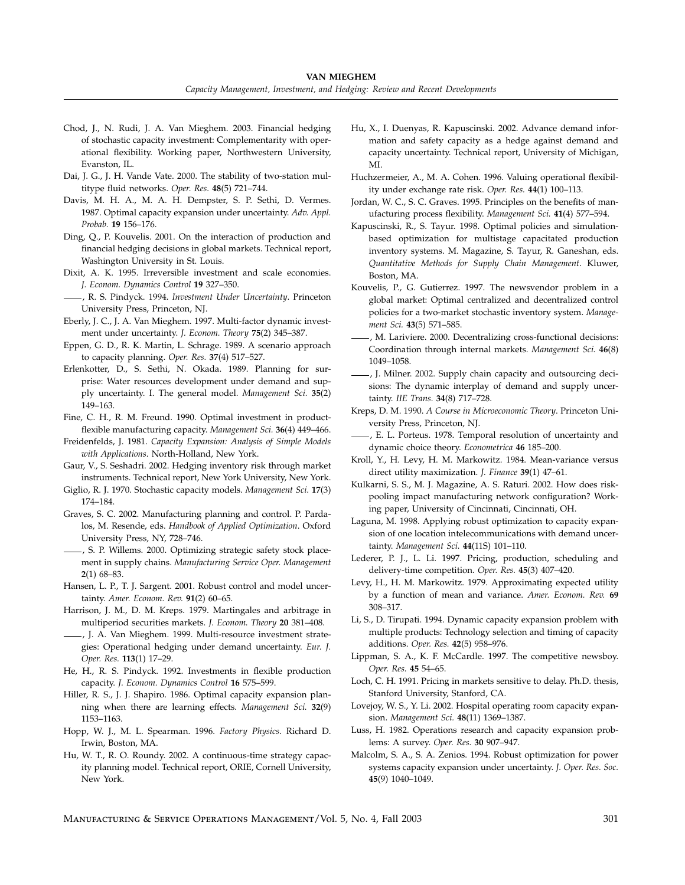- Chod, J., N. Rudi, J. A. Van Mieghem. 2003. Financial hedging of stochastic capacity investment: Complementarity with operational flexibility. Working paper, Northwestern University, Evanston, IL.
- Dai, J. G., J. H. Vande Vate. 2000. The stability of two-station multitype fluid networks. Oper. Res. 48(5) 721–744.
- Davis, M. H. A., M. A. H. Dempster, S. P. Sethi, D. Vermes. 1987. Optimal capacity expansion under uncertainty. Adv. Appl. Probab. 19 156–176.
- Ding, Q., P. Kouvelis. 2001. On the interaction of production and financial hedging decisions in global markets. Technical report, Washington University in St. Louis.
- Dixit, A. K. 1995. Irreversible investment and scale economies. J. Econom. Dynamics Control 19 327–350.
- $=$ , R. S. Pindyck. 1994. Investment Under Uncertainty. Princeton University Press, Princeton, NJ.
- Eberly, J. C., J. A. Van Mieghem. 1997. Multi-factor dynamic investment under uncertainty. J. Econom. Theory 75(2) 345–387.
- Eppen, G. D., R. K. Martin, L. Schrage. 1989. A scenario approach to capacity planning. Oper. Res. 37(4) 517–527.
- Erlenkotter, D., S. Sethi, N. Okada. 1989. Planning for surprise: Water resources development under demand and supply uncertainty. I. The general model. Management Sci. 35(2) 149–163.
- Fine, C. H., R. M. Freund. 1990. Optimal investment in productflexible manufacturing capacity. Management Sci. 36(4) 449-466.
- Freidenfelds, J. 1981. Capacity Expansion: Analysis of Simple Models with Applications. North-Holland, New York.
- Gaur, V., S. Seshadri. 2002. Hedging inventory risk through market instruments. Technical report, New York University, New York.
- Giglio, R. J. 1970. Stochastic capacity models. Management Sci. 17(3) 174–184.
- Graves, S. C. 2002. Manufacturing planning and control. P. Pardalos, M. Resende, eds. Handbook of Applied Optimization. Oxford University Press, NY, 728–746.
- , S. P. Willems. 2000. Optimizing strategic safety stock placement in supply chains. Manufacturing Service Oper. Management 2(1) 68–83.
- Hansen, L. P., T. J. Sargent. 2001. Robust control and model uncertainty. Amer. Econom. Rev. 91(2) 60-65.
- Harrison, J. M., D. M. Kreps. 1979. Martingales and arbitrage in multiperiod securities markets. J. Econom. Theory 20 381–408.
- , J. A. Van Mieghem. 1999. Multi-resource investment strategies: Operational hedging under demand uncertainty. Eur. J. Oper. Res. 113(1) 17–29.
- He, H., R. S. Pindyck. 1992. Investments in flexible production capacity. J. Econom. Dynamics Control 16 575-599.
- Hiller, R. S., J. J. Shapiro. 1986. Optimal capacity expansion planning when there are learning effects. Management Sci. 32(9) 1153–1163.
- Hopp, W. J., M. L. Spearman. 1996. Factory Physics. Richard D. Irwin, Boston, MA.
- Hu, W. T., R. O. Roundy. 2002. A continuous-time strategy capacity planning model. Technical report, ORIE, Cornell University, New York.
- Hu, X., I. Duenyas, R. Kapuscinski. 2002. Advance demand information and safety capacity as a hedge against demand and capacity uncertainty. Technical report, University of Michigan, MI.
- Huchzermeier, A., M. A. Cohen. 1996. Valuing operational flexibility under exchange rate risk. Oper. Res. 44(1) 100–113.
- Jordan, W. C., S. C. Graves. 1995. Principles on the benefits of manufacturing process flexibility. Management Sci. 41(4) 577–594.
- Kapuscinski, R., S. Tayur. 1998. Optimal policies and simulationbased optimization for multistage capacitated production inventory systems. M. Magazine, S. Tayur, R. Ganeshan, eds. Quantitative Methods for Supply Chain Management. Kluwer, Boston, MA.
- Kouvelis, P., G. Gutierrez. 1997. The newsvendor problem in a global market: Optimal centralized and decentralized control policies for a two-market stochastic inventory system. Management Sci. 43(5) 571–585.
- , M. Lariviere. 2000. Decentralizing cross-functional decisions: Coordination through internal markets. Management Sci. 46(8) 1049–1058.
- , J. Milner. 2002. Supply chain capacity and outsourcing decisions: The dynamic interplay of demand and supply uncertainty. IIE Trans. 34(8) 717–728.
- Kreps, D. M. 1990. A Course in Microeconomic Theory. Princeton University Press, Princeton, NJ.
- , E. L. Porteus. 1978. Temporal resolution of uncertainty and dynamic choice theory. Econometrica 46 185–200.
- Kroll, Y., H. Levy, H. M. Markowitz. 1984. Mean-variance versus direct utility maximization. J. Finance 39(1) 47–61.
- Kulkarni, S. S., M. J. Magazine, A. S. Raturi. 2002. How does riskpooling impact manufacturing network configuration? Working paper, University of Cincinnati, Cincinnati, OH.
- Laguna, M. 1998. Applying robust optimization to capacity expansion of one location intelecommunications with demand uncertainty. Management Sci. 44(11S) 101-110.
- Lederer, P. J., L. Li. 1997. Pricing, production, scheduling and delivery-time competition. Oper. Res. 45(3) 407–420.
- Levy, H., H. M. Markowitz. 1979. Approximating expected utility by a function of mean and variance. Amer. Econom. Rev. 69 308–317.
- Li, S., D. Tirupati. 1994. Dynamic capacity expansion problem with multiple products: Technology selection and timing of capacity additions. Oper. Res. 42(5) 958–976.
- Lippman, S. A., K. F. McCardle. 1997. The competitive newsboy. Oper. Res. 45 54–65.
- Loch, C. H. 1991. Pricing in markets sensitive to delay. Ph.D. thesis, Stanford University, Stanford, CA.
- Lovejoy, W. S., Y. Li. 2002. Hospital operating room capacity expansion. Management Sci. 48(11) 1369-1387.
- Luss, H. 1982. Operations research and capacity expansion problems: A survey. Oper. Res. 30 907–947.
- Malcolm, S. A., S. A. Zenios. 1994. Robust optimization for power systems capacity expansion under uncertainty. J. Oper. Res. Soc. 45(9) 1040–1049.